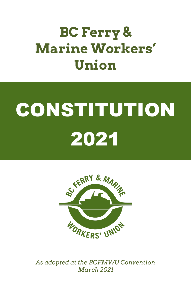# **BC Ferry & Marine Workers' Union**

# CONSTITUTION 2021



*As adopted at the BCFMWU Convention March 2021*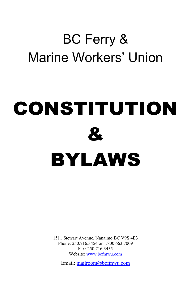# BC Ferry & Marine Workers' Union

# CONSTITUTION & BYLAWS

1511 Stewart Avenue, Nanaimo BC V9S 4E3 Phone: 250.716.3454 or 1.800.663.7009 Fax: 250.716.3455 Website[: www.bcfmwu.com](http://www.bcfmwu.com/)

Email[: mailroom@bcfmwu.com](mailto:%20mailroom@bcfmwu.com)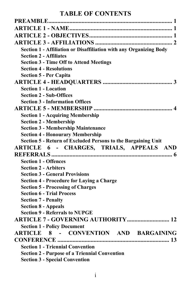# **TABLE OF CONTENTS**

| Section 1 - Affiliation or Disaffiliation with any Organizing Body  |
|---------------------------------------------------------------------|
| <b>Section 2 - Affiliates</b>                                       |
| <b>Section 3 - Time Off to Attend Meetings</b>                      |
| <b>Section 4 - Resolutions</b>                                      |
| <b>Section 5 - Per Capita</b>                                       |
|                                                                     |
| <b>Section 1 - Location</b>                                         |
| <b>Section 2 - Sub-Offices</b>                                      |
| <b>Section 3 - Information Offices</b>                              |
|                                                                     |
| <b>Section 1 - Acquiring Membership</b>                             |
| <b>Section 2 - Membership</b>                                       |
| <b>Section 3 - Membership Maintenance</b>                           |
| <b>Section 4 - Honourary Membership</b>                             |
| Section 5 - Return of Excluded Persons to the Bargaining Unit       |
| ARTICLE 6 - CHARGES, TRIALS, APPEALS AND                            |
|                                                                     |
| <b>Section 1 - Offences</b>                                         |
| <b>Section 2 - Arbiters</b>                                         |
| <b>Section 3 - General Provisions</b>                               |
| <b>Section 4 - Procedure for Laying a Charge</b>                    |
| <b>Section 5 - Processing of Charges</b>                            |
| <b>Section 6 - Trial Process</b>                                    |
| <b>Section 7 - Penalty</b>                                          |
| <b>Section 8 - Appeals</b><br><b>Section 9 - Referrals to NUPGE</b> |
|                                                                     |
|                                                                     |
| <b>Section 1 - Policy Document</b>                                  |
| ARTICLE 8 - CONVENTION AND BARGAINING                               |
|                                                                     |
| <b>Section 1 - Triennial Convention</b>                             |
| <b>Section 2 - Purpose of a Triennial Convention</b>                |
| <b>Section 3 - Special Convention</b>                               |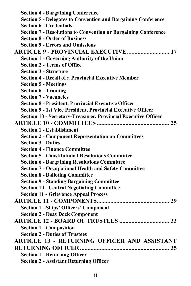| <b>Section 4 - Bargaining Conference</b>                              |  |
|-----------------------------------------------------------------------|--|
| <b>Section 5 - Delegates to Convention and Bargaining Conference</b>  |  |
| <b>Section 6 - Credentials</b>                                        |  |
| <b>Section 7 - Resolutions to Convention or Bargaining Conference</b> |  |
| <b>Section 8 - Order of Business</b>                                  |  |
| <b>Section 9 - Errors and Omissions</b>                               |  |
| <b>ARTICLE 9 - PROVINCIAL EXECUTIVE  17</b>                           |  |
| <b>Section 1 - Governing Authority of the Union</b>                   |  |
| <b>Section 2 - Terms of Office</b>                                    |  |
| <b>Section 3 - Structure</b>                                          |  |
| <b>Section 4 - Recall of a Provincial Executive Member</b>            |  |
| <b>Section 5 - Meetings</b>                                           |  |
| <b>Section 6 - Training</b>                                           |  |
| <b>Section 7 - Vacancies</b>                                          |  |
| <b>Section 8 - President, Provincial Executive Officer</b>            |  |
| Section 9 - 1st Vice President, Provincial Executive Officer          |  |
| Section 10 - Secretary-Treasurer, Provincial Executive Officer        |  |
|                                                                       |  |
| <b>Section 1 - Establishment</b>                                      |  |
| <b>Section 2 - Component Representation on Committees</b>             |  |
| <b>Section 3 - Duties</b>                                             |  |
| <b>Section 4 - Finance Committee</b>                                  |  |
| <b>Section 5 - Constitutional Resolutions Committee</b>               |  |
| <b>Section 6 - Bargaining Resolutions Committee</b>                   |  |
| <b>Section 7 - Occupational Health and Safety Committee</b>           |  |
| <b>Section 8 - Balloting Committee</b>                                |  |
| <b>Section 9 - Standing Bargaining Committee</b>                      |  |
| <b>Section 10 - Central Negotiating Committee</b>                     |  |
| <b>Section 11 - Grievance Appeal Process</b>                          |  |
|                                                                       |  |
| <b>Section 1 - Ships' Officers' Component</b>                         |  |
| <b>Section 2 - Deas Dock Component</b>                                |  |
|                                                                       |  |
| <b>Section 1 - Composition</b>                                        |  |
| <b>Section 2 - Duties of Trustees</b>                                 |  |
| <b>ARTICLE 13 - RETURNING OFFICER AND ASSISTANT</b>                   |  |
|                                                                       |  |
| <b>Section 1 - Returning Officer</b>                                  |  |
| <b>Section 2 - Assistant Returning Officer</b>                        |  |
|                                                                       |  |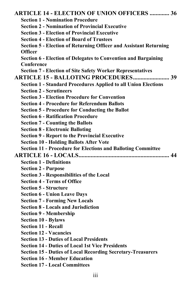| <b>ARTICLE 14 - ELECTION OF UNION OFFICERS  36</b>                       |
|--------------------------------------------------------------------------|
| <b>Section 1 - Nomination Procedure</b>                                  |
| <b>Section 2 - Nomination of Provincial Executive</b>                    |
| <b>Section 3 - Election of Provincial Executive</b>                      |
| <b>Section 4 - Election of Board of Trustees</b>                         |
| <b>Section 5 - Election of Returning Officer and Assistant Returning</b> |
| <b>Officer</b>                                                           |
| <b>Section 6 - Election of Delegates to Convention and Bargaining</b>    |
| Conference                                                               |
| <b>Section 7 - Election of Site Safety Worker Representatives</b>        |
|                                                                          |
| <b>Section 1 - Standard Procedures Applied to all Union Elections</b>    |
| <b>Section 2 - Scrutineers</b>                                           |
| <b>Section 3 - Election Procedure for Convention</b>                     |
| <b>Section 4 - Procedure for Referendum Ballots</b>                      |
| <b>Section 5 - Procedure for Conducting the Ballot</b>                   |
| <b>Section 6 - Ratification Procedure</b>                                |
| <b>Section 7 - Counting the Ballots</b>                                  |
| <b>Section 8 - Electronic Balloting</b>                                  |
| <b>Section 9 - Report to the Provincial Executive</b>                    |
| <b>Section 10 - Holding Ballots After Vote</b>                           |
| <b>Section 11 - Procedure for Elections and Balloting Committee</b>      |
|                                                                          |
| <b>Section 1 - Definitions</b>                                           |
| <b>Section 2 - Purpose</b>                                               |
| Section 3 - Responsibilities of the Local                                |
| <b>Section 4 - Terms of Office</b>                                       |
| <b>Section 5 - Structure</b>                                             |
| <b>Section 6 - Union Leave Days</b>                                      |
| <b>Section 7 - Forming New Locals</b>                                    |
| <b>Section 8 - Locals and Jurisdiction</b>                               |
| <b>Section 9 - Membership</b>                                            |
| <b>Section 10 - Bylaws</b>                                               |
| <b>Section 11 - Recall</b>                                               |
| <b>Section 12 - Vacancies</b>                                            |
| <b>Section 13 - Duties of Local Presidents</b>                           |
| <b>Section 14 - Duties of Local 1st Vice Presidents</b>                  |
| <b>Section 15 - Duties of Local Recording Secretary-Treasurers</b>       |
| <b>Section 16 - Member Education</b>                                     |
| <b>Section 17 - Local Committees</b>                                     |
|                                                                          |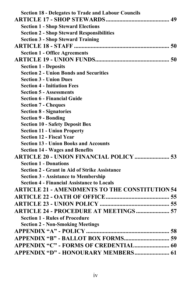| <b>Section 18 - Delegates to Trade and Labour Councils</b> |  |
|------------------------------------------------------------|--|
|                                                            |  |
| <b>Section 1 - Shop Steward Elections</b>                  |  |
| <b>Section 2 - Shop Steward Responsibilities</b>           |  |
| <b>Section 3 - Shop Steward Training</b>                   |  |
|                                                            |  |
| <b>Section 1 - Office Agreements</b>                       |  |
|                                                            |  |
| <b>Section 1 - Deposits</b>                                |  |
| <b>Section 2 - Union Bonds and Securities</b>              |  |
| <b>Section 3 - Union Dues</b>                              |  |
| <b>Section 4 - Initiation Fees</b>                         |  |
| <b>Section 5 - Assessments</b>                             |  |
| <b>Section 6 - Financial Guide</b>                         |  |
| <b>Section 7 - Cheques</b>                                 |  |
| <b>Section 8 - Signatories</b>                             |  |
| <b>Section 9 - Bonding</b>                                 |  |
| <b>Section 10 - Safety Deposit Box</b>                     |  |
| <b>Section 11 - Union Property</b>                         |  |
| <b>Section 12 - Fiscal Year</b>                            |  |
| <b>Section 13 - Union Books and Accounts</b>               |  |
| <b>Section 14 - Wages and Benefits</b>                     |  |
| <b>ARTICLE 20 - UNION FINANCIAL POLICY  53</b>             |  |
| <b>Section 1 - Donations</b>                               |  |
| <b>Section 2 - Grant in Aid of Strike Assistance</b>       |  |
| <b>Section 3 - Assistance to Membership</b>                |  |
| <b>Section 4 - Financial Assistance to Locals</b>          |  |
| <b>ARTICLE 21 - AMENDMENTS TO THE CONSTITUTION 54</b>      |  |
|                                                            |  |
|                                                            |  |
| <b>ARTICLE 24 - PROCEDURE AT MEETINGS  57</b>              |  |
| <b>Section 1 - Rules of Procedure</b>                      |  |
| <b>Section 2 - Non-Smoking Meetings</b>                    |  |
|                                                            |  |
|                                                            |  |
|                                                            |  |
| APPENDIX "D" - HONOURARY MEMBERS 61                        |  |
|                                                            |  |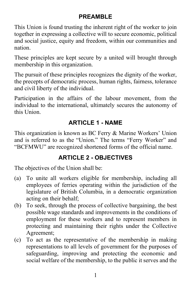# **PREAMBLE**

<span id="page-6-0"></span>This Union is found trusting the inherent right of the worker to join together in expressing a collective will to secure economic, political and social justice, equity and freedom, within our communities and nation.

These principles are kept secure by a united will brought through membership in this organization.

The pursuit of these principles recognizes the dignity of the worker, the precepts of democratic process, human rights, fairness, tolerance and civil liberty of the individual.

Participation in the affairs of the labour movement, from the individual to the international, ultimately secures the autonomy of this Union.

# **ARTICLE 1 - NAME**

<span id="page-6-1"></span>This organization is known as BC Ferry & Marine Workers' Union and is referred to as the "Union." The terms "Ferry Worker" and "BCFMWU" are recognized shortened forms of the official name.

# **ARTICLE 2 - OBJECTIVES**

<span id="page-6-2"></span>The objectives of the Union shall be:

- (a) To unite all workers eligible for membership, including all employees of ferries operating within the jurisdiction of the legislature of British Columbia, in a democratic organization acting on their behalf;
- (b) To seek, through the process of collective bargaining, the best possible wage standards and improvements in the conditions of employment for these workers and to represent members in protecting and maintaining their rights under the Collective Agreement;
- (c) To act as the representative of the membership in making representations to all levels of government for the purposes of safeguarding, improving and protecting the economic and social welfare of the membership, to the public it serves and the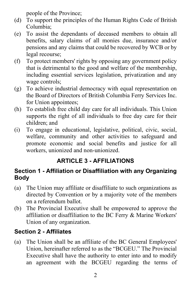people of the Province;

- (d) To support the principles of the Human Rights Code of British Columbia;
- (e) To assist the dependants of deceased members to obtain all benefits, salary claims of all monies due, insurance and/or pensions and any claims that could be recovered by WCB or by legal recourse;
- (f) To protect members' rights by opposing any government policy that is detrimental to the good and welfare of the membership, including essential services legislation, privatization and any wage controls;
- (g) To achieve industrial democracy with equal representation on the Board of Directors of British Columbia Ferry Services Inc. for Union appointees;
- (h) To establish free child day care for all individuals. This Union supports the right of all individuals to free day care for their children; and
- (i) To engage in educational, legislative, political, civic, social, welfare, community and other activities to safeguard and promote economic and social benefits and justice for all workers, unionized and non-unionized.

# **ARTICLE 3 - AFFILIATIONS**

#### <span id="page-7-1"></span><span id="page-7-0"></span>**Section 1 - Affiliation or Disaffiliation with any Organizing Body**

- (a) The Union may affiliate or disaffiliate to such organizations as directed by Convention or by a majority vote of the members on a referendum ballot.
- (b) The Provincial Executive shall be empowered to approve the affiliation or disaffiliation to the BC Ferry & Marine Workers' Union of any organization.

# <span id="page-7-2"></span>**Section 2 - Affiliates**

(a) The Union shall be an affiliate of the BC General Employees' Union, hereinafter referred to as the "BCGEU." The Provincial Executive shall have the authority to enter into and to modify an agreement with the BCGEU regarding the terms of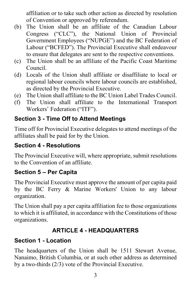affiliation or to take such other action as directed by resolution of Convention or approved by referendum.

- (b) The Union shall be an affiliate of the Canadian Labour Congress ("CLC"), the National Union of Provincial Government Employees ("NUPGE") and the BC Federation of Labour ("BCFED"). The Provincial Executive shall endeavour to ensure that delegates are sent to the respective conventions.
- (c) The Union shall be an affiliate of the Pacific Coast Maritime Council.
- (d) Locals of the Union shall affiliate or disaffiliate to local or regional labour councils where labour councils are established, as directed by the Provincial Executive.
- (e) The Union shall affiliate to the BC Union Label Trades Council.
- (f) The Union shall affiliate to the International Transport Workers' Federation ("ITF").

# <span id="page-8-0"></span>**Section 3 - Time Off to Attend Meetings**

Time off for Provincial Executive delegates to attend meetings of the affiliates shall be paid for by the Union.

#### <span id="page-8-1"></span>**Section 4 - Resolutions**

The Provincial Executive will, where appropriate, submit resolutions to the Convention of an affiliate.

#### <span id="page-8-2"></span>**Section 5 – Per Capita**

The Provincial Executive must approve the amount of per capita paid by the BC Ferry & Marine Workers' Union to any labour organization.

The Union shall pay a per capita affiliation fee to those organizations to which it is affiliated, in accordance with the Constitutions of those organizations.

# **ARTICLE 4 - HEADQUARTERS**

# <span id="page-8-4"></span><span id="page-8-3"></span>**Section 1 - Location**

The headquarters of the Union shall be 1511 Stewart Avenue, Nanaimo, British Columbia, or at such other address as determined by a two-thirds (2/3) vote of the Provincial Executive.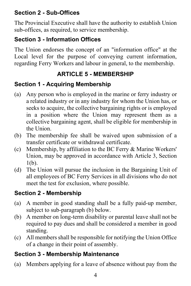# <span id="page-9-0"></span>**Section 2 - Sub-Offices**

The Provincial Executive shall have the authority to establish Union sub-offices, as required, to service membership.

# <span id="page-9-1"></span>**Section 3 - Information Offices**

The Union endorses the concept of an "information office" at the Local level for the purpose of conveying current information, regarding Ferry Workers and labour in general, to the membership.

# **ARTICLE 5 - MEMBERSHIP**

# <span id="page-9-3"></span><span id="page-9-2"></span>**Section 1 - Acquiring Membership**

- (a) Any person who is employed in the marine or ferry industry or a related industry or in any industry for whom the Union has, or seeks to acquire, the collective bargaining rights or is employed in a position where the Union may represent them as a collective bargaining agent, shall be eligible for membership in the Union.
- (b) The membership fee shall be waived upon submission of a transfer certificate or withdrawal certificate.
- (c) Membership, by affiliation to the BC Ferry & Marine Workers' Union, may be approved in accordance with Article 3, Section 1(b).
- (d) The Union will pursue the inclusion in the Bargaining Unit of all employees of BC Ferry Services in all divisions who do not meet the test for exclusion, where possible.

# <span id="page-9-4"></span>**Section 2 - Membership**

- (a) A member in good standing shall be a fully paid-up member, subject to sub-paragraph (b) below.
- (b) A member on long-term disability or parental leave shall not be required to pay dues and shall be considered a member in good standing.
- (c) All members shall be responsible for notifying the Union Office of a change in their point of assembly.

# <span id="page-9-5"></span>**Section 3 - Membership Maintenance**

(a) Members applying for a leave of absence without pay from the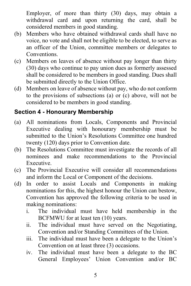Employer, of more than thirty (30) days, may obtain a withdrawal card and upon returning the card, shall be considered members in good standing.

- (b) Members who have obtained withdrawal cards shall have no voice, no vote and shall not be eligible to be elected, to serve as an officer of the Union, committee members or delegates to Conventions.
- (c) Members on leaves of absence without pay longer than thirty (30) days who continue to pay union dues as formerly assessed shall be considered to be members in good standing. Dues shall be submitted directly to the Union Office.
- (d) Members on leave of absence without pay, who do not conform to the provisions of subsections (a) or (c) above, will not be considered to be members in good standing.

# <span id="page-10-0"></span>**Section 4 - Honourary Membership**

- (a) All nominations from Locals, Components and Provincial Executive dealing with honourary membership must be submitted to the Union's Resolutions Committee one hundred twenty (120) days prior to Convention date.
- (b) The Resolutions Committee must investigate the records of all nominees and make recommendations to the Provincial Executive.
- (c) The Provincial Executive will consider all recommendations and inform the Local or Component of the decisions.
- (d) In order to assist Locals and Components in making nominations for this, the highest honour the Union can bestow, Convention has approved the following criteria to be used in making nominations:
	- i. The individual must have held membership in the BCFMWU for at least ten (10) years.
	- ii. The individual must have served on the Negotiating, Convention and/or Standing Committees of the Union.
	- iii. The individual must have been a delegate to the Union's Convention on at least three (3) occasions.
	- iv. The individual must have been a delegate to the BC General Employees' Union Convention and/or BC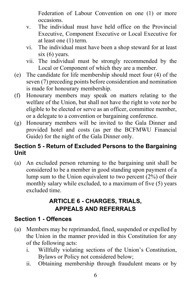Federation of Labour Convention on one (1) or more occasions.

- v. The individual must have held office on the Provincial Executive, Component Executive or Local Executive for at least one (1) term.
- vi. The individual must have been a shop steward for at least six (6) years.
- vii. The individual must be strongly recommended by the Local or Component of which they are a member.
- (e) The candidate for life membership should meet four (4) of the seven (7) preceding points before consideration and nomination is made for honourary membership.
- (f) Honourary members may speak on matters relating to the welfare of the Union, but shall not have the right to vote nor be eligible to be elected or serve as an officer, committee member, or a delegate to a convention or bargaining conference.
- (g) Honourary members will be invited to the Gala Dinner and provided hotel and costs (as per the BCFMWU Financial Guide) for the night of the Gala Dinner only.

#### <span id="page-11-0"></span>**Section 5 - Return of Excluded Persons to the Bargaining Unit**

(a) An excluded person returning to the bargaining unit shall be considered to be a member in good standing upon payment of a lump sum to the Union equivalent to two percent (2%) of their monthly salary while excluded, to a maximum of five (5) years excluded time.

# **ARTICLE 6 - CHARGES, TRIALS, APPEALS AND REFERRALS**

#### <span id="page-11-2"></span><span id="page-11-1"></span>**Section 1 - Offences**

- (a) Members may be reprimanded, fined, suspended or expelled by the Union in the manner provided in this Constitution for any of the following acts:
	- i. Willfully violating sections of the Union's Constitution, Bylaws or Policy not considered below;
	- ii. Obtaining membership through fraudulent means or by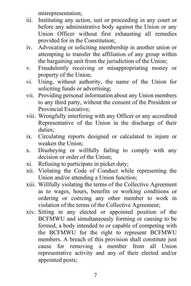misrepresentation;

- iii. Instituting any action, suit or proceeding in any court or before any administrative body against the Union or any Union Officer without first exhausting all remedies provided for in the Constitution;
- iv. Advocating or soliciting membership in another union or attempting to transfer the affiliation of any group within the bargaining unit from the jurisdiction of the Union;
- v. Fraudulently receiving or misappropriating money or property of the Union;
- vi. Using, without authority, the name of the Union for soliciting funds or advertising;
- vii. Providing personal information about any Union members to any third party, without the consent of the President or Provincial Executive;
- viii. Wrongfully interfering with any Officer or any accredited Representative of the Union in the discharge of their duties;
- ix. Circulating reports designed or calculated to injure or weaken the Union;
- x. Disobeying or willfully failing to comply with any decision or order of the Union;
- xi. Refusing to participate in picket duty;
- xii. Violating the Code of Conduct while representing the Union and/or attending a Union function;
- xiii. Willfully violating the terms of the Collective Agreement as to wages, hours, benefits or working conditions or ordering or coercing any other member to work in violation of the terms of the Collective Agreement;
- xiv. Sitting in any elected or appointed position of the BCFMWU and simultaneously forming or causing to be formed, a body intended to or capable of competing with the BCFMWU for the right to represent BCFMWU members. A breach of this provision shall constitute just cause for removing a member from all Union representative activity and any of their elected and/or appointed posts;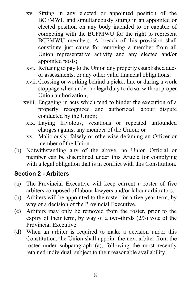- xv. Sitting in any elected or appointed position of the BCFMWU and simultaneously sitting in an appointed or elected position on any body intended to or capable of competing with the BCFMWU for the right to represent BCFMWU members. A breach of this provision shall constitute just cause for removing a member from all Union representative activity and any elected and/or appointed posts;
- xvi. Refusing to pay to the Union any properly established dues or assessments, or any other valid financial obligations;
- xvii. Crossing or working behind a picket line or during a work stoppage when under no legal duty to do so, without proper Union authorization;
- xviii. Engaging in acts which tend to hinder the execution of a properly recognized and authorized labour dispute conducted by the Union;
	- xix. Laying frivolous, vexatious or repeated unfounded charges against any member of the Union; or
	- xx. Maliciously, falsely or otherwise defaming an Officer or member of the Union.
- (b) Notwithstanding any of the above, no Union Official or member can be disciplined under this Article for complying with a legal obligation that is in conflict with this Constitution.

#### <span id="page-13-0"></span>**Section 2 - Arbiters**

- (a) The Provincial Executive will keep current a roster of five arbiters composed of labour lawyers and/or labour arbitrators.
- (b) Arbiters will be appointed to the roster for a five-year term, by way of a decision of the Provincial Executive.
- (c) Arbiters may only be removed from the roster, prior to the expiry of their term, by way of a two-thirds (2/3) vote of the Provincial Executive.
- (d) When an arbiter is required to make a decision under this Constitution, the Union shall appoint the next arbiter from the roster under subparagraph (a), following the most recently retained individual, subject to their reasonable availability.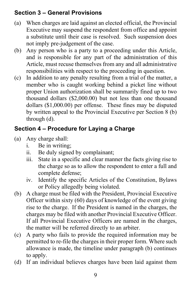# <span id="page-14-0"></span>**Section 3 – General Provisions**

- (a) When charges are laid against an elected official, the Provincial Executive may suspend the respondent from office and appoint a substitute until their case is resolved. Such suspension does not imply pre-judgement of the case.
- (b) Any person who is a party to a proceeding under this Article, and is responsible for any part of the administration of this Article, must recuse themselves from any and all administrative responsibilities with respect to the proceeding in question.
- (c) In addition to any penalty resulting from a trial of the matter, a member who is caught working behind a picket line without proper Union authorization shall be summarily fined up to two thousand dollars (\$2,000.00) but not less than one thousand dollars (\$1,000.00) per offense. These fines may be disputed by written appeal to the Provincial Executive per Section 8 (b) through (d).

# <span id="page-14-1"></span>**Section 4 – Procedure for Laying a Charge**

- (a) Any charge shall:
	- i. Be in writing;
	- ii. Be duly signed by complainant;
	- iii. State in a specific and clear manner the facts giving rise to the charge so as to allow the respondent to enter a full and complete defense;
	- iv. Identify the specific Articles of the Constitution, Bylaws or Policy allegedly being violated.
- (b) A charge must be filed with the President, Provincial Executive Officer within sixty (60) days of knowledge of the event giving rise to the charge. If the President is named in the charges, the charges may be filed with another Provincial Executive Officer. If all Provincial Executive Officers are named in the charges, the matter will be referred directly to an arbiter.
- (c) A party who fails to provide the required information may be permitted to re-file the charges in their proper form. Where such allowance is made, the timeline under paragraph (b) continues to apply.
- (d) If an individual believes charges have been laid against them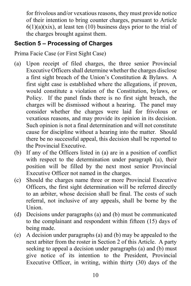for frivolous and/or vexatious reasons, they must provide notice of their intention to bring counter charges, pursuant to Article  $6(1)(a)(xix)$ , at least ten (10) business days prior to the trial of the charges brought against them.

#### <span id="page-15-0"></span>**Section 5 – Processing of Charges**

Prima Facie Case (or First Sight Case)

- (a) Upon receipt of filed charges, the three senior Provincial Executive Officers shall determine whether the charges disclose a first sight breach of the Union's Constitution & Bylaws. A first sight case is established where the allegations, if proven, would constitute a violation of the Constitution, bylaws, or Policy. If the panel finds there is no first sight breach, the charges will be dismissed without a hearing. The panel may consider whether the charges were laid for frivolous or vexatious reasons, and may provide its opinion in its decision. Such opinion is not a final determination and will not constitute cause for discipline without a hearing into the matter. Should there be no successful appeal, this decision shall be reported to the Provincial Executive.
- (b) If any of the Officers listed in (a) are in a position of conflict with respect to the determination under paragraph (a), their position will be filled by the next most senior Provincial Executive Officer not named in the charges.
- (c) Should the charges name three or more Provincial Executive Officers, the first sight determination will be referred directly to an arbiter, whose decision shall be final. The costs of such referral, not inclusive of any appeals, shall be borne by the Union.
- (d) Decisions under paragraphs (a) and (b) must be communicated to the complainant and respondent within fifteen (15) days of being made.
- (e) A decision under paragraphs (a) and (b) may be appealed to the next arbiter from the roster in Section 2 of this Article. A party seeking to appeal a decision under paragraphs (a) and (b) must give notice of its intention to the President, Provincial Executive Officer, in writing, within thirty (30) days of the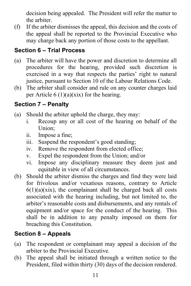decision being appealed. The President will refer the matter to the arbiter.

(f) If the arbiter dismisses the appeal, this decision and the costs of the appeal shall be reported to the Provincial Executive who may charge back any portion of those costs to the appellant.

# <span id="page-16-0"></span>**Section 6 – Trial Process**

- (a) The arbiter will have the power and discretion to determine all procedures for the hearing, provided such discretion is exercised in a way that respects the parties' right to natural justice, pursuant to Section 10 of the Labour Relations Code.
- (b) The arbiter shall consider and rule on any counter charges laid per Article  $6(1)(a)(xix)$  for the hearing.

#### <span id="page-16-1"></span>**Section 7 – Penalty**

- (a) Should the arbiter uphold the charge, they may:
	- i. Recoup any or all cost of the hearing on behalf of the Union;
	- ii. Impose a fine;
	- iii. Suspend the respondent's good standing;
	- iv. Remove the respondent from elected office;
	- v. Expel the respondent from the Union; and/or
	- vi. Impose any disciplinary measure they deem just and equitable in view of all circumstances.
- (b) Should the arbiter dismiss the charges and find they were laid for frivolous and/or vexatious reasons, contrary to Article  $6(1)(a)(xix)$ , the complainant shall be charged back all costs associated with the hearing including, but not limited to, the arbiter's reasonable costs and disbursements, and any rentals of equipment and/or space for the conduct of the hearing. This shall be in addition to any penalty imposed on them for breaching this Constitution.

# <span id="page-16-2"></span>**Section 8 – Appeals**

- (a) The respondent or complainant may appeal a decision of the arbiter to the Provincial Executive.
- (b) The appeal shall be initiated through a written notice to the President, filed within thirty (30) days of the decision rendered.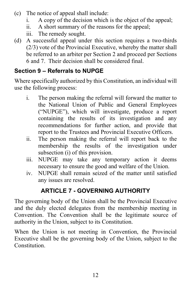- (c) The notice of appeal shall include:
	- i. A copy of the decision which is the object of the appeal;
	- ii. A short summary of the reasons for the appeal;
	- iii. The remedy sought.
- (d) A successful appeal under this section requires a two-thirds (2/3) vote of the Provincial Executive, whereby the matter shall be referred to an arbiter per Section 2 and proceed per Sections 6 and 7. Their decision shall be considered final.

# <span id="page-17-0"></span>**Section 9 – Referrals to NUPGE**

Where specifically authorized by this Constitution, an individual will use the following process:

- i. The person making the referral will forward the matter to the National Union of Public and General Employees ("NUPGE"), which will investigate, produce a report containing the results of its investigation and any recommendations for further action, and provide that report to the Trustees and Provincial Executive Officers.
- ii. The person making the referral will report back to the membership the results of the investigation under subsection (i) of this provision.
- iii. NUPGE may take any temporary action it deems necessary to ensure the good and welfare of the Union.
- iv. NUPGE shall remain seized of the matter until satisfied any issues are resolved.

# **ARTICLE 7 - GOVERNING AUTHORITY**

<span id="page-17-1"></span>The governing body of the Union shall be the Provincial Executive and the duly elected delegates from the membership meeting in Convention. The Convention shall be the legitimate source of authority in the Union, subject to its Constitution.

When the Union is not meeting in Convention, the Provincial Executive shall be the governing body of the Union, subject to the **Constitution**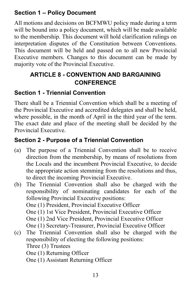# <span id="page-18-0"></span>**Section 1 – Policy Document**

All motions and decisions on BCFMWU policy made during a term will be bound into a policy document, which will be made available to the membership. This document will hold clarification rulings on interpretation disputes of the Constitution between Conventions. This document will be held and passed on to all new Provincial Executive members. Changes to this document can be made by majority vote of the Provincial Executive.

# <span id="page-18-1"></span>**ARTICLE 8 - CONVENTION AND BARGAINING CONFERENCE**

#### <span id="page-18-2"></span>**Section 1 - Triennial Convention**

There shall be a Triennial Convention which shall be a meeting of the Provincial Executive and accredited delegates and shall be held, where possible, in the month of April in the third year of the term. The exact date and place of the meeting shall be decided by the Provincial Executive.

# <span id="page-18-3"></span>**Section 2 - Purpose of a Triennial Convention**

- (a) The purpose of a Triennial Convention shall be to receive direction from the membership, by means of resolutions from the Locals and the incumbent Provincial Executive, to decide the appropriate action stemming from the resolutions and thus, to direct the incoming Provincial Executive.
- (b) The Triennial Convention shall also be charged with the responsibility of nominating candidates for each of the following Provincial Executive positions: One (1) President, Provincial Executive Officer One (1) 1st Vice President, Provincial Executive Officer One (1) 2nd Vice President, Provincial Executive Officer One (1) Secretary-Treasurer, Provincial Executive Officer
- (c) The Triennial Convention shall also be charged with the responsibility of electing the following positions: Three (3) Trustees One (1) Returning Officer One (1) Assistant Returning Officer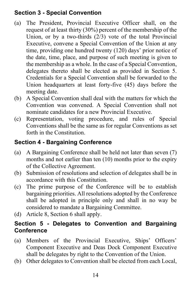# <span id="page-19-0"></span>**Section 3 - Special Convention**

- (a) The President, Provincial Executive Officer shall, on the request of at least thirty (30%) percent of the membership of the Union, or by a two-thirds (2/3) vote of the total Provincial Executive, convene a Special Convention of the Union at any time, providing one hundred twenty (120) days' prior notice of the date, time, place, and purpose of such meeting is given to the membership as a whole. In the case of a Special Convention, delegates thereto shall be elected as provided in Section 5. Credentials for a Special Convention shall be forwarded to the Union headquarters at least forty-five (45) days before the meeting date.
- (b) A Special Convention shall deal with the matters for which the Convention was convened. A Special Convention shall not nominate candidates for a new Provincial Executive.
- (c) Representation, voting procedure, and rules of Special Conventions shall be the same as for regular Conventions as set forth in the Constitution.

# <span id="page-19-1"></span>**Section 4 - Bargaining Conference**

- (a) A Bargaining Conference shall be held not later than seven (7) months and not earlier than ten (10) months prior to the expiry of the Collective Agreement.
- (b) Submission of resolutions and selection of delegates shall be in accordance with this Constitution.
- (c) The prime purpose of the Conference will be to establish bargaining priorities. All resolutions adopted by the Conference shall be adopted in principle only and shall in no way be considered to mandate a Bargaining Committee.
- (d) Article 8, Section 6 shall apply.

#### <span id="page-19-2"></span>**Section 5 - Delegates to Convention and Bargaining Conference**

- (a) Members of the Provincial Executive, Ships' Officers' Component Executive and Deas Dock Component Executive shall be delegates by right to the Convention of the Union.
- (b) Other delegates to Convention shall be elected from each Local,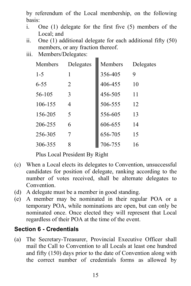by referendum of the Local membership, on the following basis:

- i. One (1) delegate for the first five (5) members of the Local; and
- ii. One (1) additional delegate for each additional fifty (50) members, or any fraction thereof.

m.

iii. Members/Delegates:

| Members  | Delegates | Members | Delegates |
|----------|-----------|---------|-----------|
| $1 - 5$  | 1         | 356-405 | 9         |
| $6 - 55$ | 2         | 406-455 | 10        |
| 56-105   | 3         | 456-505 | 11        |
| 106-155  | 4         | 506-555 | 12        |
| 156-205  | 5         | 556-605 | 13        |
| 206-255  | 6         | 606-655 | 14        |
| 256-305  |           | 656-705 | 15        |
| 306-355  |           | 706-755 | 16        |

Plus Local President By Right

- (c) When a Local elects its delegates to Convention, unsuccessful candidates for position of delegate, ranking according to the number of votes received, shall be alternate delegates to Convention.
- (d) A delegate must be a member in good standing.
- (e) A member may be nominated in their regular POA or a temporary POA, while nominations are open, but can only be nominated once. Once elected they will represent that Local regardless of their POA at the time of the event.

#### <span id="page-20-0"></span>**Section 6 - Credentials**

(a) The Secretary-Treasurer, Provincial Executive Officer shall mail the Call to Convention to all Locals at least one hundred and fifty (150) days prior to the date of Convention along with the correct number of credentials forms as allowed by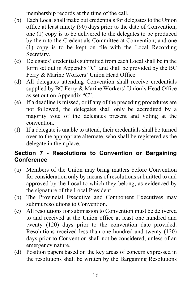membership records at the time of the call.

- (b) Each Local shall make out credentials for delegates to the Union office at least ninety (90) days prior to the date of Convention; one (1) copy is to be delivered to the delegates to be produced by them to the Credentials Committee at Convention; and one (1) copy is to be kept on file with the Local Recording Secretary.
- (c) Delegates' credentials submitted from each Local shall be in the form set out in Appendix "C" and shall be provided by the BC Ferry & Marine Workers' Union Head Office.
- (d) All delegates attending Convention shall receive credentials supplied by BC Ferry & Marine Workers' Union's Head Office as set out on Appendix "C".
- (e) If a deadline is missed, or if any of the preceding procedures are not followed, the delegates shall only be accredited by a majority vote of the delegates present and voting at the convention.
- (f) If a delegate is unable to attend, their credentials shall be turned over to the appropriate alternate, who shall be registered as the delegate in their place.

#### <span id="page-21-0"></span>**Section 7 - Resolutions to Convention or Bargaining Conference**

- (a) Members of the Union may bring matters before Convention for consideration only by means of resolutions submitted to and approved by the Local to which they belong, as evidenced by the signature of the Local President.
- (b) The Provincial Executive and Component Executives may submit resolutions to Convention.
- (c) All resolutions for submission to Convention must be delivered to and received at the Union office at least one hundred and twenty (120) days prior to the convention date provided. Resolutions received less than one hundred and twenty (120) days prior to Convention shall not be considered, unless of an emergency nature.
- (d) Position papers based on the key areas of concern expressed in the resolutions shall be written by the Bargaining Resolutions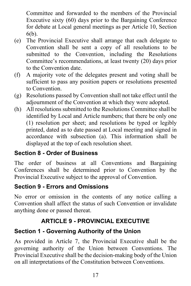Committee and forwarded to the members of the Provincial Executive sixty (60) days prior to the Bargaining Conference for debate at Local general meetings as per Article 10, Section 6(b).

- (e) The Provincial Executive shall arrange that each delegate to Convention shall be sent a copy of all resolutions to be submitted to the Convention, including the Resolutions Committee's recommendations, at least twenty (20) days prior to the Convention date.
- (f) A majority vote of the delegates present and voting shall be sufficient to pass any position papers or resolutions presented to Convention.
- (g) Resolutions passed by Convention shall not take effect until the adjournment of the Convention at which they were adopted.
- (h) All resolutions submitted to the Resolutions Committee shall be identified by Local and Article numbers; that there be only one (1) resolution per sheet; and resolutions be typed or legibly printed, dated as to date passed at Local meeting and signed in accordance with subsection (a). This information shall be displayed at the top of each resolution sheet.

# <span id="page-22-0"></span>**Section 8 - Order of Business**

The order of business at all Conventions and Bargaining Conferences shall be determined prior to Convention by the Provincial Executive subject to the approval of Convention.

# <span id="page-22-1"></span>**Section 9 - Errors and Omissions**

No error or omission in the contents of any notice calling a Convention shall affect the status of such Convention or invalidate anything done or passed thereat.

# **ARTICLE 9 - PROVINCIAL EXECUTIVE**

# <span id="page-22-3"></span><span id="page-22-2"></span>**Section 1 - Governing Authority of the Union**

As provided in Article 7, the Provincial Executive shall be the governing authority of the Union between Conventions. The Provincial Executive shall be the decision-making body of the Union on all interpretations of the Constitution between Conventions.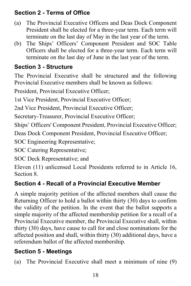# <span id="page-23-0"></span>**Section 2 - Terms of Office**

- (a) The Provincial Executive Officers and Deas Dock Component President shall be elected for a three-year term. Each term will terminate on the last day of May in the last year of the term.
- (b) The Ships' Officers' Component President and SOC Table Officers shall be elected for a three-year term. Each term will terminate on the last day of June in the last year of the term.

# <span id="page-23-1"></span>**Section 3 - Structure**

The Provincial Executive shall be structured and the following Provincial Executive members shall be known as follows:

President, Provincial Executive Officer;

1st Vice President, Provincial Executive Officer;

2nd Vice President, Provincial Executive Officer;

Secretary-Treasurer, Provincial Executive Officer;

Ships' Officers' Component President, Provincial Executive Officer;

Deas Dock Component President, Provincial Executive Officer;

SOC Engineering Representative;

SOC Catering Representative;

SOC Deck Representative; and

Eleven (11) unlicensed Local Presidents referred to in Article 16, Section 8.

# <span id="page-23-2"></span>**Section 4 - Recall of a Provincial Executive Member**

A simple majority petition of the affected members shall cause the Returning Officer to hold a ballot within thirty (30) days to confirm the validity of the petition. In the event that the ballot supports a simple majority of the affected membership petition for a recall of a Provincial Executive member, the Provincial Executive shall, within thirty (30) days, have cause to call for and close nominations for the affected position and shall, within thirty (30) additional days, have a referendum ballot of the affected membership.

# <span id="page-23-3"></span>**Section 5 - Meetings**

(a) The Provincial Executive shall meet a minimum of nine (9)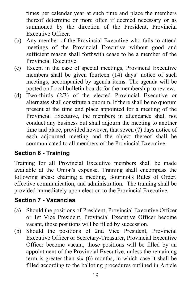times per calendar year at such time and place the members thereof determine or more often if deemed necessary or as summoned by the direction of the President, Provincial Executive Officer.

- (b) Any member of the Provincial Executive who fails to attend meetings of the Provincial Executive without good and sufficient reason shall forthwith cease to be a member of the Provincial Executive.
- (c) Except in the case of special meetings, Provincial Executive members shall be given fourteen (14) days' notice of such meetings, accompanied by agenda items. The agenda will be posted on Local bulletin boards for the membership to review.
- (d) Two-thirds (2/3) of the elected Provincial Executive or alternates shall constitute a quorum. If there shall be no quorum present at the time and place appointed for a meeting of the Provincial Executive, the members in attendance shall not conduct any business but shall adjourn the meeting to another time and place, provided however, that seven (7) days notice of each adjourned meeting and the object thereof shall be communicated to all members of the Provincial Executive.

# <span id="page-24-0"></span>**Section 6 - Training**

Training for all Provincial Executive members shall be made available at the Union's expense. Training shall encompass the following areas: chairing a meeting, Bourinot's Rules of Order, effective communication, and administration. The training shall be provided immediately upon election to the Provincial Executive.

#### <span id="page-24-1"></span>**Section 7 - Vacancies**

- (a) Should the positions of President, Provincial Executive Officer or 1st Vice President, Provincial Executive Officer become vacant, those positions will be filled by succession.
- (b) Should the positions of 2nd Vice President, Provincial Executive Officer or Secretary-Treasurer, Provincial Executive Officer become vacant, those positions will be filled by an appointment of the Provincial Executive, unless the remaining term is greater than six (6) months, in which case it shall be filled according to the balloting procedures outlined in Article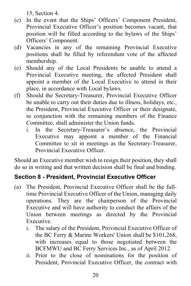15, Section 4.

- (c) In the event that the Ships' Officers' Component President, Provincial Executive Officer's position becomes vacant, that position will be filled according to the bylaws of the Ships' Officers' Component.
- (d) Vacancies in any of the remaining Provincial Executive positions shall be filled by referendum vote of the affected membership.
- (e) Should any of the Local Presidents be unable to attend a Provincial Executive meeting, the affected President shall appoint a member of the Local Executive to attend in their place, in accordance with Local bylaws.
- (f) Should the Secretary-Treasurer, Provincial Executive Officer be unable to carry out their duties due to illness, holidays, etc., the President, Provincial Executive Officer or their designate, in conjunction with the remaining members of the Finance Committee, shall administer the Union funds.
	- i. In the Secretary-Treasurer's absence, the Provincial Executive may appoint a member of the Financial Committee to sit in meetings as the Secretary-Treasurer, Provincial Executive Officer.

Should an Executive member wish to resign their position, they shall do so in writing and that written decision shall be final and binding.

#### <span id="page-25-0"></span>**Section 8 - President, Provincial Executive Officer**

- (a) The President, Provincial Executive Officer shall be the fulltime Provincial Executive Officer of the Union, managing daily operations. They are the chairperson of the Provincial Executive and will have authority to conduct the affairs of the Union between meetings as directed by the Provincial Executive.
	- i. The salary of the President, Provincial Executive Officer of the BC Ferry & Marine Workers' Union shall be \$101,268, with increases equal to those negotiated between the BCFMWU and BC Ferry Services Inc., as of April 2012.
	- ii. Prior to the close of nominations for the position of President, Provincial Executive Officer, the contract with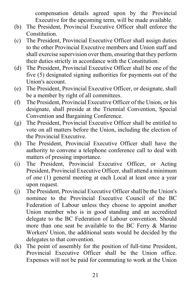compensation details agreed upon by the Provincial Executive for the upcoming term, will be made available.

- (b) The President, Provincial Executive Officer shall enforce the Constitution.
- (c) The President, Provincial Executive Officer shall assign duties to the other Provincial Executive members and Union staff and shall exercise supervision over them, ensuring that they perform their duties strictly in accordance with the Constitution.
- (d) The President, Provincial Executive Officer shall be one of the five (5) designated signing authorities for payments out of the Union's account.
- (e) The President, Provincial Executive Officer, or designate, shall be a member by right of all committees.
- (f) The President, Provincial Executive Officer of the Union, or his designate, shall preside at the Triennial Convention, Special Convention and Bargaining Conference.
- (g) The President, Provincial Executive Officer shall be entitled to vote on all matters before the Union, including the election of the Provincial Executive.
- (h) The President, Provincial Executive Officer shall have the authority to convene a telephone conference call to deal with matters of pressing importance.
- (i) The President, Provincial Executive Officer, or Acting President, Provincial Executive Officer, shall attend a minimum of one (1) general meeting at each Local at least once a year upon request.
- (j) The President, Provincial Executive Officer shall be the Union's nominee to the Provincial Executive Council of the BC Federation of Labour unless they choose to appoint another Union member who is in good standing and an accredited delegate to the BC Federation of Labour convention. Should more than one seat be available to the BC Ferry & Marine Workers' Union, the additional seats would be decided by the delegates to that convention.
- (k) The point of assembly for the position of full-time President, Provincial Executive Officer shall be the Union office. Expenses will not be paid for commuting to work at the Union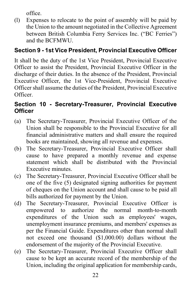office.

(l) Expenses to relocate to the point of assembly will be paid by the Union to the amount negotiated in the Collective Agreement between British Columbia Ferry Services Inc. ("BC Ferries") and the BCFMWU.

# <span id="page-27-0"></span>**Section 9 - 1st Vice President, Provincial Executive Officer**

It shall be the duty of the 1st Vice President, Provincial Executive Officer to assist the President, Provincial Executive Officer in the discharge of their duties. In the absence of the President, Provincial Executive Officer, the 1st Vice-President, Provincial Executive Officer shall assume the duties of the President, Provincial Executive Officer.

# <span id="page-27-1"></span>**Section 10 - Secretary-Treasurer, Provincial Executive Officer**

- (a) The Secretary-Treasurer, Provincial Executive Officer of the Union shall be responsible to the Provincial Executive for all financial administrative matters and shall ensure the required books are maintained, showing all revenue and expenses.
- (b) The Secretary-Treasurer, Provincial Executive Officer shall cause to have prepared a monthly revenue and expense statement which shall be distributed with the Provincial Executive minutes.
- (c) The Secretary-Treasurer, Provincial Executive Officer shall be one of the five (5) designated signing authorities for payment of cheques on the Union account and shall cause to be paid all bills authorized for payment by the Union.
- (d) The Secretary-Treasurer, Provincial Executive Officer is empowered to authorize the normal month-to-month expenditures of the Union such as employees' wages, unemployment insurance premiums, and members' expenses as per the Financial Guide. Expenditures other than normal shall not exceed one thousand (\$1,000.00) dollars without the endorsement of the majority of the Provincial Executive.
- (e) The Secretary-Treasurer, Provincial Executive Officer shall cause to be kept an accurate record of the membership of the Union, including the original application for membership cards,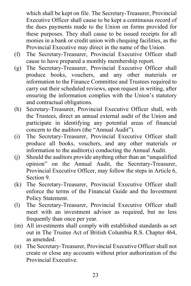which shall be kept on file. The Secretary-Treasurer, Provincial Executive Officer shall cause to be kept a continuous record of the dues payments made to the Union on forms provided for these purposes. They shall cause to be issued receipts for all monies in a bank or credit union with chequing facilities, as the Provincial Executive may direct in the name of the Union.

- (f) The Secretary-Treasurer, Provincial Executive Officer shall cause to have prepared a monthly membership report.
- (g) The Secretary-Treasurer, Provincial Executive Officer shall produce books, vouchers, and any other materials or information to the Finance Committee and Trustees required to carry out their scheduled reviews, upon request in writing, after ensuring the information complies with the Union's statutory and contractual obligations.
- (h) Secretary-Treasurer, Provincial Executive Officer shall, with the Trustees, direct an annual external audit of the Union and participate in identifying any potential areas of financial concern to the auditors (the "Annual Audit").
- (i) The Secretary-Treasurer, Provincial Executive Officer shall produce all books, vouchers, and any other materials or information to the auditor(s) conducting the Annual Audit.
- (j) Should the auditors provide anything other than an "unqualified opinion" on the Annual Audit, the Secretary-Treasurer, Provincial Executive Officer, may follow the steps in Article 6, Section 9.
- (k) The Secretary-Treasurer, Provincial Executive Officer shall enforce the terms of the Financial Guide and the Investment Policy Statement.
- (l) The Secretary-Treasurer, Provincial Executive Officer shall meet with an investment advisor as required, but no less frequently than once per year.
- (m) All investments shall comply with established standards as set out in The Trustee Act of British Columbia R.S. Chapter 464, as amended.
- (n) The Secretary-Treasurer, Provincial Executive Officer shall not create or close any accounts without prior authorization of the Provincial Executive.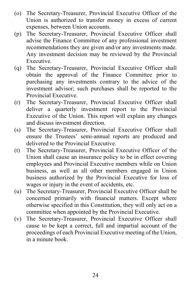- (o) The Secretary-Treasurer, Provincial Executive Officer of the Union is authorized to transfer money in excess of current expenses, between Union accounts.
- (p) The Secretary-Treasurer, Provincial Executive Officer shall advise the Finance Committee of any professional investment recommendations they are given and/or any investments made. Any investment decision may be reviewed by the Provincial Executive.
- (q) The Secretary-Treasurer, Provincial Executive Officer shall obtain the approval of the Finance Committee prior to purchasing any investments contrary to the advice of the investment advisor; such purchases shall be reported to the Provincial Executive.
- (r) The Secretary-Treasurer, Provincial Executive Officer shall deliver a quarterly investment report to the Provincial Executive of the Union. This report will explain any changes and discuss investment direction.
- (s) The Secretary-Treasurer, Provincial Executive Officer shall ensure the Trustees' semi-annual reports are produced and delivered to the Provincial Executive.
- (t) The Secretary-Treasurer, Provincial Executive Officer of the Union shall cause an insurance policy to be in effect covering employees and Provincial Executive members while on Union business, as well as all other members engaged in Union business authorized by the Provincial Executive for loss of wages or injury in the event of accidents, etc.
- (u) The Secretary-Treasurer, Provincial Executive Officer shall be concerned primarily with financial matters. Except where otherwise specified in this Constitution, they will only act on a committee when appointed by the Provincial Executive.
- (v) The Secretary-Treasurer, Provincial Executive Officer shall cause to be kept a correct, full and impartial account of the proceedings of each Provincial Executive meeting of the Union, in a minute book.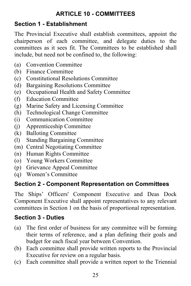# **ARTICLE 10 - COMMITTEES**

#### <span id="page-30-1"></span><span id="page-30-0"></span>**Section 1 - Establishment**

The Provincial Executive shall establish committees, appoint the chairperson of each committee, and delegate duties to the committees as it sees fit. The Committees to be established shall include, but need not be confined to, the following:

- (a) Convention Committee
- (b) Finance Committee
- (c) Constitutional Resolutions Committee
- (d) Bargaining Resolutions Committee
- (e) Occupational Health and Safety Committee
- (f) Education Committee
- (g) Marine Safety and Licensing Committee
- (h) Technological Change Committee
- (i) Communication Committee
- (j) Apprenticeship Committee
- (k) Balloting Committee
- (l) Standing Bargaining Committee
- (m) Central Negotiating Committee
- (n) Human Rights Committee
- (o) Young Workers Committee
- (p) Grievance Appeal Committee
- (q) Women's Committee

#### <span id="page-30-2"></span>**Section 2 - Component Representation on Committees**

The Ships' Officers' Component Executive and Deas Dock Component Executive shall appoint representatives to any relevant committees in Section 1 on the basis of proportional representation.

#### <span id="page-30-3"></span>**Section 3 - Duties**

- (a) The first order of business for any committee will be forming their terms of reference, and a plan defining their goals and budget for each fiscal year between Convention.
- (b) Each committee shall provide written reports to the Provincial Executive for review on a regular basis.
- (c) Each committee shall provide a written report to the Triennial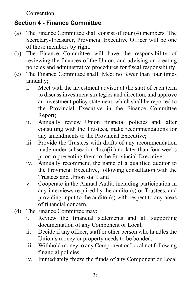Convention.

# <span id="page-31-0"></span>**Section 4 - Finance Committee**

- (a) The Finance Committee shall consist of four (4) members. The Secretary-Treasurer, Provincial Executive Officer will be one of those members by right.
- (b) The Finance Committee will have the responsibility of reviewing the finances of the Union, and advising on creating policies and administrative procedures for fiscal responsibility.
- (c) The Finance Committee shall: Meet no fewer than four times annually;
	- i. Meet with the investment advisor at the start of each term to discuss investment strategies and direction, and approve an investment policy statement, which shall be reported to the Provincial Executive in the Finance Committee Report;
	- ii. Annually review Union financial policies and, after consulting with the Trustees, make recommendations for any amendments to the Provincial Executive;
	- iii. Provide the Trustees with drafts of any recommendation made under subsection  $4$  (c)(iii) no later than four weeks prior to presenting them to the Provincial Executive;
	- iv. Annually recommend the name of a qualified auditor to the Provincial Executive, following consultation with the Trustees and Union staff; and
	- v. Cooperate in the Annual Audit, including participation in any interviews required by the auditor(s) or Trustees, and providing input to the auditor(s) with respect to any areas of financial concern.
- (d) The Finance Committee may:
	- i. Review the financial statements and all supporting documentation of any Component or Local;
	- ii. Decide if any officer, staff or other person who handles the Union's money or property needs to be bonded;
	- iii. Withhold money to any Component or Local not following financial policies;
	- iv. Immediately freeze the funds of any Component or Local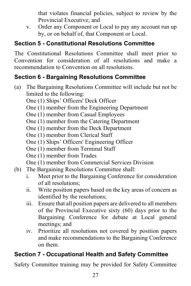that violates financial policies, subject to review by the Provincial Executive; and

v. Order any Component or Local to pay any account run up by, or on behalf of, that Component or Local.

# <span id="page-32-0"></span>**Section 5 - Constitutional Resolutions Committee**

The Constitutional Resolutions Committee shall meet prior to Convention for consideration of all resolutions and make a recommendation to Convention on all resolutions.

# <span id="page-32-1"></span>**Section 6 - Bargaining Resolutions Committee**

- (a) The Bargaining Resolutions Committee will include but not be limited to the following:
	- One (1) Ships' Officers' Deck Officer
	- One (1) member from the Engineering Department
	- One (1) member from Casual Employees
	- One (1) member from the Catering Department
	- One (1) member from the Deck Department
	- One (1) member from Clerical Staff
	- One (1) Ships' Officers' Engineering Officer
	- One (1) member from Terminal Staff
	- One (1) member from Trades
	- One (1) member from Commercial Services Division
- (b) The Bargaining Resolutions Committee shall:
	- i. Meet prior to the Bargaining Conference for consideration of all resolutions;
	- ii. Write position papers based on the key areas of concern as identified by the resolutions;
	- iii. Ensure that all position papers are delivered to all members of the Provincial Executive sixty (60) days prior to the Bargaining Conference for debate at Local general meetings; and
	- iv. Prioritize all resolutions not covered by position papers and make recommendations to the Bargaining Conference on them.

# <span id="page-32-2"></span>**Section 7 - Occupational Health and Safety Committee**

Safety Committee training may be provided for Safety Committee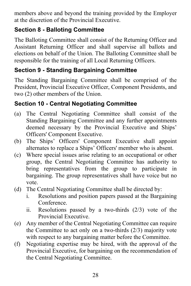members above and beyond the training provided by the Employer at the discretion of the Provincial Executive.

# <span id="page-33-0"></span>**Section 8 - Balloting Committee**

The Balloting Committee shall consist of the Returning Officer and Assistant Returning Officer and shall supervise all ballots and elections on behalf of the Union. The Balloting Committee shall be responsible for the training of all Local Returning Officers.

# <span id="page-33-1"></span>**Section 9 - Standing Bargaining Committee**

The Standing Bargaining Committee shall be comprised of the President, Provincial Executive Officer, Component Presidents, and two (2) other members of the Union.

# <span id="page-33-2"></span>**Section 10 - Central Negotiating Committee**

- (a) The Central Negotiating Committee shall consist of the Standing Bargaining Committee and any further appointments deemed necessary by the Provincial Executive and Ships' Officers' Component Executive.
- (b) The Ships' Officers' Component Executive shall appoint alternates to replace a Ships' Officers' member who is absent.
- (c) Where special issues arise relating to an occupational or other group, the Central Negotiating Committee has authority to bring representatives from the group to participate in bargaining. The group representatives shall have voice but no vote.
- (d) The Central Negotiating Committee shall be directed by:
	- i. Resolutions and position papers passed at the Bargaining Conference.
	- ii. Resolutions passed by a two-thirds (2/3) vote of the Provincial Executive.
- (e) Any member of the Central Negotiating Committee can require the Committee to act only on a two-thirds (2/3) majority vote with respect to any bargaining matter before the Committee.
- (f) Negotiating expertise may be hired, with the approval of the Provincial Executive, for bargaining on the recommendation of the Central Negotiating Committee.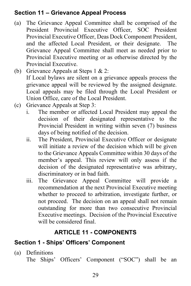### <span id="page-34-0"></span>**Section 11 – Grievance Appeal Process**

- (a) The Grievance Appeal Committee shall be comprised of the President Provincial Executive Officer, SOC President Provincial Executive Officer, Deas Dock Component President, and the affected Local President, or their designate. The Grievance Appeal Committee shall meet as needed prior to Provincial Executive meeting or as otherwise directed by the Provincial Executive.
- (b) Grievance Appeals at Steps 1 & 2: If Local bylaws are silent on a grievance appeals process the grievance appeal will be reviewed by the assigned designate. Local appeals may be filed through the Local President or Union Office, care of the Local President.
- (c) Grievance Appeals at Step 3:
	- i. The member or affected Local President may appeal the decision of their designated representative to the Provincial President in writing within seven (7) business days of being notified of the decision.
	- ii. The President, Provincial Executive Officer or designate will initiate a review of the decision which will be given to the Grievance Appeals Committee within 30 days of the member's appeal. This review will only assess if the decision of the designated representative was arbitrary, discriminatory or in bad faith.
	- iii. The Grievance Appeal Committee will provide a recommendation at the next Provincial Executive meeting whether to proceed to arbitration, investigate further, or not proceed. The decision on an appeal shall not remain outstanding for more than two consecutive Provincial Executive meetings. Decision of the Provincial Executive will be considered final.

# **ARTICLE 11 - COMPONENTS**

# <span id="page-34-2"></span><span id="page-34-1"></span>**Section 1 - Ships' Officers' Component**

(a) Definitions The Ships' Officers' Component ("SOC") shall be an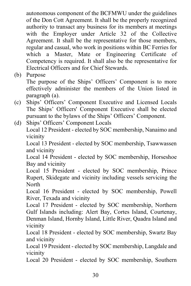autonomous component of the BCFMWU under the guidelines of the Don Cott Agreement. It shall be the properly recognized authority to transact any business for its members at meetings with the Employer under Article 32 of the Collective Agreement. It shall be the representative for those members, regular and casual, who work in positions within BC Ferries for which a Master, Mate or Engineering Certificate of Competency is required. It shall also be the representative for Electrical Officers and for Chief Stewards.

(b) Purpose

The purpose of the Ships' Officers' Component is to more effectively administer the members of the Union listed in paragraph (a).

- (c) Ships' Officers' Component Executive and Licensed Locals The Ships' Officers' Component Executive shall be elected pursuant to the bylaws of the Ships' Officers' Component.
- (d) Ships' Officers' Component Locals

Local 12 President - elected by SOC membership, Nanaimo and vicinity

Local 13 President - elected by SOC membership, Tsawwassen and vicinity

Local 14 President - elected by SOC membership, Horseshoe Bay and vicinity

Local 15 President - elected by SOC membership, Prince Rupert, Skidegate and vicinity including vessels servicing the North

Local 16 President - elected by SOC membership, Powell River, Texada and vicinity

Local 17 President - elected by SOC membership, Northern Gulf Islands including: Alert Bay, Cortes Island, Courtenay, Denman Island, Hornby Island, Little River, Quadra Island and vicinity

Local 18 President - elected by SOC membership, Swartz Bay and vicinity

Local 19 President - elected by SOC membership, Langdale and vicinity

Local 20 President - elected by SOC membership, Southern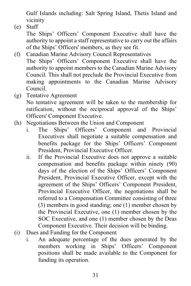Gulf Islands including: Salt Spring Island, Thetis Island and vicinity

(e) Staff

The Ships' Officers' Component Executive shall have the authority to appoint a staff representative to carry out the affairs of the Ships' Officers' members, as they see fit.

- (f) Canadian Marine Advisory Council Representatives The Ships' Officers' Component Executive shall have the authority to appoint members to the Canadian Marine Advisory Council. This shall not preclude the Provincial Executive from making appointments to the Canadian Marine Advisory Council.
- (g) Tentative Agreement No tentative agreement will be taken to the membership for ratification, without the reciprocal approval of the Ships' Officers' Component Executive.
- (h) Negotiations Between the Union and Component
	- i. The Ships' Officers' Component and Provincial Executives shall negotiate a suitable compensation and benefits package for the Ships' Officers' Component President, Provincial Executive Officer.
	- ii. If the Provincial Executive does not approve a suitable compensation and benefits package within ninety (90) days of the election of the Ships' Officers' Component President, Provincial Executive Officer, except with the agreement of the Ships' Officers' Component President, Provincial Executive Officer, the negotiations shall be referred to a Compensation Committee consisting of three (3) members in good standing; one (1) member chosen by the Provincial Executive, one (1) member chosen by the SOC Executive, and one (1) member chosen by the Deas Component Executive. Their decision will be binding.
- (i) Dues and Funding for the Component
	- i. An adequate percentage of the dues generated by the members working in Ships' Officers' Component positions shall be made available to the Component for funding its operation.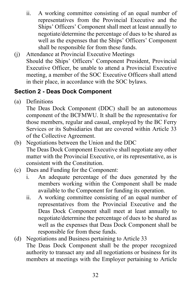- ii. A working committee consisting of an equal number of representatives from the Provincial Executive and the Ships' Officers' Component shall meet at least annually to negotiate/determine the percentage of dues to be shared as well as the expenses that the Ships' Officers' Component shall be responsible for from these funds.
- (j) Attendance at Provincial Executive Meetings Should the Ships' Officers' Component President, Provincial Executive Officer, be unable to attend a Provincial Executive meeting, a member of the SOC Executive Officers shall attend in their place, in accordance with the SOC bylaws.

# <span id="page-37-0"></span>**Section 2 - Deas Dock Component**

(a) Definitions

The Deas Dock Component (DDC) shall be an autonomous component of the BCFMWU. It shall be the representative for those members, regular and casual, employed by the BC Ferry Services or its Subsidiaries that are covered within Article 33 of the Collective Agreement.

- (b) Negotiations between the Union and the DDC The Deas Dock Component Executive shall negotiate any other matter with the Provincial Executive, or its representative, as is consistent with the Constitution.
- (c) Dues and Funding for the Component:
	- i. An adequate percentage of the dues generated by the members working within the Component shall be made available to the Component for funding its operation.
	- ii. A working committee consisting of an equal number of representatives from the Provincial Executive and the Deas Dock Component shall meet at least annually to negotiate/determine the percentage of dues to be shared as well as the expenses that Deas Dock Component shall be responsible for from these funds.
- (d) Negotiations and Business pertaining to Article 33 The Deas Dock Component shall be the proper recognized authority to transact any and all negotiations or business for its members at meetings with the Employer pertaining to Article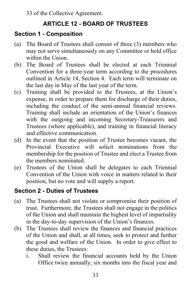33 of the Collective Agreement.

# **ARTICLE 12 - BOARD OF TRUSTEES**

#### <span id="page-38-1"></span><span id="page-38-0"></span>**Section 1 - Composition**

- (a) The Board of Trustees shall consist of three (3) members who may not serve simultaneously on any Committee or hold office within the Union.
- (b) The Board of Trustees shall be elected at each Triennial Convention for a three-year term according to the procedures outlined in Article 14, Section 4. Each term will terminate on the last day in May of the last year of the term.
- (c) Training shall be provided to the Trustees, at the Union's expense, in order to prepare them for discharge of their duties, including the conduct of the semi-annual financial reviews. Training shall include an orientation of the Union's finances with the outgoing and incoming Secretary-Treasurers and Trustees (where applicable), and training in financial literacy and effective communication.
- (d) In the event that the position of Trustee becomes vacant, the Provincial Executive will solicit nominations from the membership for the position of Trustee and elect a Trustee from the members nominated.
- (e) Trustees of the Union shall be delegates to each Triennial Convention of the Union with voice in matters related to their position, but no vote and will supply a report.

#### <span id="page-38-2"></span>**Section 2 - Duties of Trustees**

- (a) The Trustees shall not violate or compromise their position of trust. Furthermore, the Trustees shall not engage in the politics of the Union and shall maintain the highest level of impartiality in the day-to-day supervision of the Union's finances.
- (b) The Trustees shall review the finances and financial practices of the Union and shall, at all times, seek to protect and further the good and welfare of the Union. In order to give effect to these duties, the Trustees:
	- i. Shall review the financial accounts held by the Union Office twice annually; six months into the fiscal year and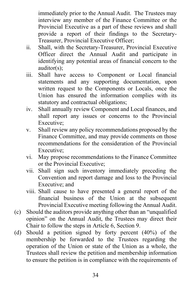immediately prior to the Annual Audit. The Trustees may interview any member of the Finance Committee or the Provincial Executive as a part of these reviews and shall provide a report of their findings to the Secretary-Treasurer, Provincial Executive Officer;

- ii. Shall, with the Secretary-Treasurer, Provincial Executive Officer direct the Annual Audit and participate in identifying any potential areas of financial concern to the auditor(s);
- iii. Shall have access to Component or Local financial statements and any supporting documentation, upon written request to the Components or Locals, once the Union has ensured the information complies with its statutory and contractual obligations;
- iv. Shall annually review Component and Local finances, and shall report any issues or concerns to the Provincial Executive;
- v. Shall review any policy recommendations proposed by the Finance Committee, and may provide comments on those recommendations for the consideration of the Provincial Executive;
- vi. May propose recommendations to the Finance Committee or the Provincial Executive;
- vii. Shall sign such inventory immediately preceding the Convention and report damage and loss to the Provincial Executive; and
- viii. Shall cause to have presented a general report of the financial business of the Union at the subsequent Provincial Executive meeting following the Annual Audit.
- (c) Should the auditors provide anything other than an "unqualified opinion" on the Annual Audit, the Trustees may direct their Chair to follow the steps in Article 6, Section 9.
- (d) Should a petition signed by forty percent (40%) of the membership be forwarded to the Trustees regarding the operation of the Union or state of the Union as a whole, the Trustees shall review the petition and membership information to ensure the petition is in compliance with the requirements of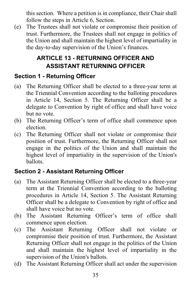this section. Where a petition is in compliance, their Chair shall follow the steps in Article 6, Section.

(e) The Trustees shall not violate or compromise their position of trust. Furthermore, the Trustees shall not engage in politics of the Union and shall maintain the highest level of impartiality in the day-to-day supervision of the Union's finances.

# **ARTICLE 13 - RETURNING OFFICER AND ASSISTANT RETURNING OFFICER**

# <span id="page-40-1"></span><span id="page-40-0"></span>**Section 1 - Returning Officer**

- (a) The Returning Officer shall be elected to a three-year term at the Triennial Convention according to the balloting procedures in Article 14, Section 5. The Returning Officer shall be a delegate to Convention by right of office and shall have voice but no vote.
- (b) The Returning Officer's term of office shall commence upon election.
- (c) The Returning Officer shall not violate or compromise their position of trust. Furthermore, the Returning Officer shall not engage in the politics of the Union and shall maintain the highest level of impartiality in the supervision of the Union's ballots.

# <span id="page-40-2"></span>**Section 2 - Assistant Returning Officer**

- (a) The Assistant Returning Officer shall be elected to a three-year term at the Triennial Convention according to the balloting procedures in Article 14, Section 5. The Assistant Returning Officer shall be a delegate to Convention by right of office and shall have voice but no vote.
- (b) The Assistant Returning Officer's term of office shall commence upon election.
- (c) The Assistant Returning Officer shall not violate or compromise their position of trust. Furthermore, the Assistant Returning Officer shall not engage in the politics of the Union and shall maintain the highest level of impartiality in the supervision of the Union's ballots.
- (d) The Assistant Returning Officer shall act under the supervision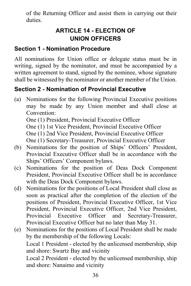<span id="page-41-0"></span>of the Returning Officer and assist them in carrying out their duties.

# **ARTICLE 14 - ELECTION OF UNION OFFICERS**

#### <span id="page-41-1"></span>**Section 1 - Nomination Procedure**

All nominations for Union office or delegate status must be in writing, signed by the nominator, and must be accompanied by a written agreement to stand, signed by the nominee, whose signature shall be witnessed by the nominator or another member of the Union.

# <span id="page-41-2"></span>**Section 2 - Nomination of Provincial Executive**

- (a) Nominations for the following Provincial Executive positions may be made by any Union member and shall close at Convention: One (1) President, Provincial Executive Officer One (1) 1st Vice President, Provincial Executive Officer One (1) 2nd Vice President, Provincial Executive Officer
- One (1) Secretary-Treasurer, Provincial Executive Officer (b) Nominations for the position of Ships' Officers' President,
- Provincial Executive Officer shall be in accordance with the Ships' Officers' Component bylaws.
- (c) Nominations for the position of Deas Dock Component President, Provincial Executive Officer shall be in accordance with the Deas Dock Component bylaws.
- (d) Nominations for the positions of Local President shall close as soon as practical after the completion of the election of the positions of President, Provincial Executive Officer, 1st Vice President, Provincial Executive Officer, 2nd Vice President, Provincial Executive Officer and Secretary-Treasurer, Provincial Executive Officer but no later than May 31.
- (e) Nominations for the positions of Local President shall be made by the membership of the following Locals: Local 1 President - elected by the unlicensed membership, ship and shore: Swartz Bay and vicinity Local 2 President - elected by the unlicensed membership, ship and shore: Nanaimo and vicinity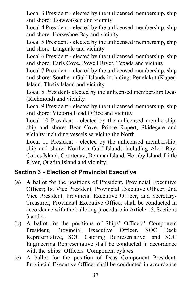Local 3 President - elected by the unlicensed membership, ship and shore: Tsawwassen and vicinity

Local 4 President - elected by the unlicensed membership, ship and shore: Horseshoe Bay and vicinity

Local 5 President - elected by the unlicensed membership, ship and shore: Langdale and vicinity

Local 6 President - elected by the unlicensed membership, ship and shore: Earls Cove, Powell River, Texada and vicinity

Local 7 President - elected by the unlicensed membership, ship and shore: Southern Gulf Islands including: Penelakut (Kuper) Island, Thetis Island and vicinity

Local 8 President- elected by the unlicensed membership Deas (Richmond) and vicinity

Local 9 President - elected by the unlicensed membership, ship and shore: Victoria Head Office and vicinity

Local 10 President - elected by the unlicensed membership, ship and shore: Bear Cove, Prince Rupert, Skidegate and vicinity including vessels servicing the North

Local 11 President - elected by the unlicensed membership, ship and shore: Northern Gulf Islands including Alert Bay, Cortes Island, Courtenay, Denman Island, Hornby Island, Little River, Quadra Island and vicinity.

# <span id="page-42-0"></span>**Section 3 - Election of Provincial Executive**

- (a) A ballot for the positions of President, Provincial Executive Officer; 1st Vice President, Provincial Executive Officer; 2nd Vice President, Provincial Executive Officer; and Secretary-Treasurer, Provincial Executive Officer shall be conducted in accordance with the balloting procedure in Article 15, Sections 3 and 4.
- (b) A ballot for the positions of Ships' Officers' Component President, Provincial Executive Officer, SOC Deck Representative, SOC Catering Representative, and SOC Engineering Representative shall be conducted in accordance with the Ships' Officers' Component bylaws.
- (c) A ballot for the position of Deas Component President, Provincial Executive Officer shall be conducted in accordance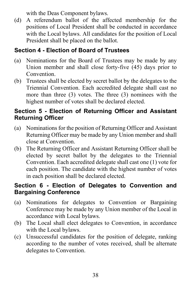with the Deas Component bylaws.

(d) A referendum ballot of the affected membership for the positions of Local President shall be conducted in accordance with the Local bylaws. All candidates for the position of Local President shall be placed on the ballot.

# <span id="page-43-0"></span>**Section 4 - Election of Board of Trustees**

- (a) Nominations for the Board of Trustees may be made by any Union member and shall close forty-five (45) days prior to Convention.
- (b) Trustees shall be elected by secret ballot by the delegates to the Triennial Convention. Each accredited delegate shall cast no more than three (3) votes. The three (3) nominees with the highest number of votes shall be declared elected.

#### <span id="page-43-1"></span>**Section 5 - Election of Returning Officer and Assistant Returning Officer**

- (a) Nominations for the position of Returning Officer and Assistant Returning Officer may be made by any Union member and shall close at Convention.
- (b) The Returning Officer and Assistant Returning Officer shall be elected by secret ballot by the delegates to the Triennial Convention. Each accredited delegate shall cast one (1) vote for each position. The candidate with the highest number of votes in each position shall be declared elected.

#### <span id="page-43-2"></span>**Section 6 - Election of Delegates to Convention and Bargaining Conference**

- (a) Nominations for delegates to Convention or Bargaining Conference may be made by any Union member of the Local in accordance with Local bylaws.
- (b) The Local shall elect delegates to Convention, in accordance with the Local bylaws.
- (c) Unsuccessful candidates for the position of delegate, ranking according to the number of votes received, shall be alternate delegates to Convention.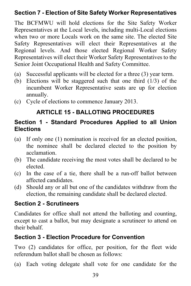#### <span id="page-44-0"></span>**Section 7 - Election of Site Safety Worker Representatives**

The BCFMWU will hold elections for the Site Safety Worker Representatives at the Local levels, including multi-Local elections when two or more Locals work on the same site. The elected Site Safety Representatives will elect their Representatives at the Regional levels. And those elected Regional Worker Safety Representatives will elect their Worker Safety Representatives to the Senior Joint Occupational Health and Safety Committee.

- (a) Successful applicants will be elected for a three (3) year term.
- (b) Elections will be staggered such that one third (1/3) of the incumbent Worker Representative seats are up for election annually.
- <span id="page-44-1"></span>(c) Cycle of elections to commence January 2013.

# **ARTICLE 15 - BALLOTING PROCEDURES**

#### <span id="page-44-2"></span>**Section 1 - Standard Procedures Applied to all Union Elections**

- (a) If only one (1) nomination is received for an elected position, the nominee shall be declared elected to the position by acclamation.
- (b) The candidate receiving the most votes shall be declared to be elected.
- (c) In the case of a tie, there shall be a run-off ballot between affected candidates.
- (d) Should any or all but one of the candidates withdraw from the election, the remaining candidate shall be declared elected.

#### <span id="page-44-3"></span>**Section 2 - Scrutineers**

Candidates for office shall not attend the balloting and counting, except to cast a ballot, but may designate a scrutineer to attend on their behalf.

#### <span id="page-44-4"></span>**Section 3 - Election Procedure for Convention**

Two (2) candidates for office, per position, for the fleet wide referendum ballot shall be chosen as follows:

(a) Each voting delegate shall vote for one candidate for the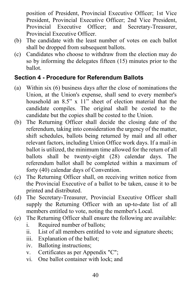position of President, Provincial Executive Officer; 1st Vice President, Provincial Executive Officer; 2nd Vice President, Provincial Executive Officer; and Secretary-Treasurer, Provincial Executive Officer.

- (b) The candidate with the least number of votes on each ballot shall be dropped from subsequent ballots.
- (c) Candidates who choose to withdraw from the election may do so by informing the delegates fifteen (15) minutes prior to the ballot.

#### <span id="page-45-0"></span>**Section 4 - Procedure for Referendum Ballots**

- (a) Within six (6) business days after the close of nominations the Union, at the Union's expense, shall send to every member's household an 8.5" x 11" sheet of election material that the candidate compiles. The original shall be costed to the candidate but the copies shall be costed to the Union.
- (b) The Returning Officer shall decide the closing date of the referendum, taking into consideration the urgency of the matter, shift schedules, ballots being returned by mail and all other relevant factors, including Union Office work days. If a mail-in ballot is utilized, the minimum time allowed for the return of all ballots shall be twenty-eight (28) calendar days. The referendum ballot shall be completed within a maximum of forty (40) calendar days of Convention.
- (c) The Returning Officer shall, on receiving written notice from the Provincial Executive of a ballot to be taken, cause it to be printed and distributed.
- (d) The Secretary-Treasurer, Provincial Executive Officer shall supply the Returning Officer with an up-to-date list of all members entitled to vote, noting the member's Local.
- (e) The Returning Officer shall ensure the following are available:
	- i. Required number of ballots;
	- ii. List of all members entitled to vote and signature sheets;
	- iii. Explanation of the ballot;
	- iv. Balloting instructions;
	- v. Certificates as per Appendix "C";
	- vi. One ballot container with lock; and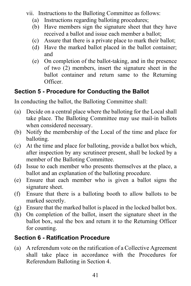vii. Instructions to the Balloting Committee as follows:

- (a) Instructions regarding balloting procedures;
- (b) Have members sign the signature sheet that they have received a ballot and issue each member a ballot;
- (c) Assure that there is a private place to mark their ballot;
- (d) Have the marked ballot placed in the ballot container; and
- (e) On completion of the ballot-taking, and in the presence of two (2) members, insert the signature sheet in the ballot container and return same to the Returning Officer.

# <span id="page-46-0"></span>**Section 5 - Procedure for Conducting the Ballot**

In conducting the ballot, the Balloting Committee shall:

- (a) Decide on a central place where the balloting for the Local shall take place. The Balloting Committee may use mail-in ballots when considered necessary.
- (b) Notify the membership of the Local of the time and place for balloting.
- (c) At the time and place for balloting, provide a ballot box which, after inspection by any scrutineer present, shall be locked by a member of the Balloting Committee.
- (d) Issue to each member who presents themselves at the place, a ballot and an explanation of the balloting procedure.
- (e) Ensure that each member who is given a ballot signs the signature sheet.
- (f) Ensure that there is a balloting booth to allow ballots to be marked secretly.
- (g) Ensure that the marked ballot is placed in the locked ballot box.
- (h) On completion of the ballot, insert the signature sheet in the ballot box, seal the box and return it to the Returning Officer for counting.

# <span id="page-46-1"></span>**Section 6 - Ratification Procedure**

(a) A referendum vote on the ratification of a Collective Agreement shall take place in accordance with the Procedures for Referendum Balloting in Section 4.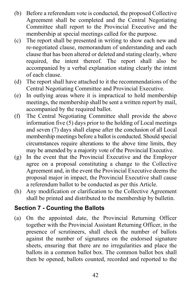- (b) Before a referendum vote is conducted, the proposed Collective Agreement shall be completed and the Central Negotiating Committee shall report to the Provincial Executive and the membership at special meetings called for the purpose.
- (c) The report shall be presented in writing to show each new and re-negotiated clause, memorandum of understanding and each clause that has been altered or deleted and stating clearly, where required, the intent thereof. The report shall also be accompanied by a verbal explanation stating clearly the intent of each clause.
- (d) The report shall have attached to it the recommendations of the Central Negotiating Committee and Provincial Executive.
- (e) In outlying areas where it is impractical to hold membership meetings, the membership shall be sent a written report by mail, accompanied by the required ballot.
- (f) The Central Negotiating Committee shall provide the above information five (5) days prior to the holding of Local meetings and seven (7) days shall elapse after the conclusion of all Local membership meetings before a ballot is conducted. Should special circumstances require alterations to the above time limits, they may be amended by a majority vote of the Provincial Executive.
- (g) In the event that the Provincial Executive and the Employer agree on a proposal constituting a change to the Collective Agreement and, in the event the Provincial Executive deems the proposal major in impact, the Provincial Executive shall cause a referendum ballot to be conducted as per this Article.
- (h) Any modification or clarification to the Collective Agreement shall be printed and distributed to the membership by bulletin.

# <span id="page-47-0"></span>**Section 7 - Counting the Ballots**

(a) On the appointed date, the Provincial Returning Officer together with the Provincial Assistant Returning Officer, in the presence of scrutineers, shall check the number of ballots against the number of signatures on the endorsed signature sheets, ensuring that there are no irregularities and place the ballots in a common ballot box. The common ballot box shall then be opened, ballots counted, recorded and reported to the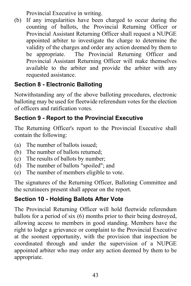Provincial Executive in writing.

(b) If any irregularities have been charged to occur during the counting of ballots, the Provincial Returning Officer or Provincial Assistant Returning Officer shall request a NUPGE appointed arbiter to investigate the charge to determine the validity of the charges and order any action deemed by them to be appropriate. The Provincial Returning Officer and Provincial Assistant Returning Officer will make themselves available to the arbiter and provide the arbiter with any requested assistance.

# <span id="page-48-0"></span>**Section 8 - Electronic Balloting**

Notwithstanding any of the above balloting procedures, electronic balloting may be used for fleetwide referendum votes for the election of officers and ratification votes.

# <span id="page-48-1"></span>**Section 9 - Report to the Provincial Executive**

The Returning Officer's report to the Provincial Executive shall contain the following:

- (a) The number of ballots issued;
- (b) The number of ballots returned;
- (c) The results of ballots by number;
- (d) The number of ballots "spoiled"; and
- (e) The number of members eligible to vote.

The signatures of the Returning Officer, Balloting Committee and the scrutineers present shall appear on the report.

# <span id="page-48-2"></span>**Section 10 - Holding Ballots After Vote**

The Provincial Returning Officer will hold fleetwide referendum ballots for a period of six (6) months prior to their being destroyed, allowing access to members in good standing. Members have the right to lodge a grievance or complaint to the Provincial Executive at the soonest opportunity, with the provision that inspection be coordinated through and under the supervision of a NUPGE appointed arbiter who may order any action deemed by them to be appropriate.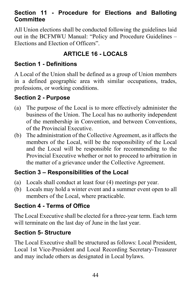#### <span id="page-49-0"></span>**Section 11 - Procedure for Elections and Balloting Committee**

All Union elections shall be conducted following the guidelines laid out in the BCFMWU Manual: "Policy and Procedure Guidelines – Elections and Election of Officers".

# **ARTICLE 16 - LOCALS**

# <span id="page-49-2"></span><span id="page-49-1"></span>**Section 1 - Definitions**

A Local of the Union shall be defined as a group of Union members in a defined geographic area with similar occupations, trades, professions, or working conditions.

#### <span id="page-49-3"></span>**Section 2 - Purpose**

- (a) The purpose of the Local is to more effectively administer the business of the Union. The Local has no authority independent of the membership in Convention, and between Conventions, of the Provincial Executive.
- (b) The administration of the Collective Agreement, as it affects the members of the Local, will be the responsibility of the Local and the Local will be responsible for recommending to the Provincial Executive whether or not to proceed to arbitration in the matter of a grievance under the Collective Agreement.

# <span id="page-49-4"></span>**Section 3 – Responsibilities of the Local**

- (a) Locals shall conduct at least four (4) meetings per year.
- (b) Locals may hold a winter event and a summer event open to all members of the Local, where practicable.

# <span id="page-49-5"></span>**Section 4 - Terms of Office**

The Local Executive shall be elected for a three-year term. Each term will terminate on the last day of June in the last year.

# <span id="page-49-6"></span>**Section 5- Structure**

The Local Executive shall be structured as follows: Local President, Local 1st Vice-President and Local Recording Secretary-Treasurer and may include others as designated in Local bylaws.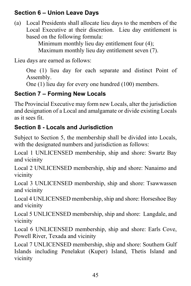# <span id="page-50-0"></span>**Section 6 – Union Leave Days**

(a) Local Presidents shall allocate lieu days to the members of the Local Executive at their discretion. Lieu day entitlement is based on the following formula:

Minimum monthly lieu day entitlement four (4); Maximum monthly lieu day entitlement seven (7).

Lieu days are earned as follows:

One (1) lieu day for each separate and distinct Point of Assembly.

One (1) lieu day for every one hundred (100) members.

# <span id="page-50-1"></span>**Section 7 – Forming New Locals**

The Provincial Executive may form new Locals, alter the jurisdiction and designation of a Local and amalgamate or divide existing Locals as it sees fit.

# <span id="page-50-2"></span>**Section 8 - Locals and Jurisdiction**

Subject to Section 5, the membership shall be divided into Locals, with the designated numbers and jurisdiction as follows:

Local 1 UNLICENSED membership, ship and shore: Swartz Bay and vicinity

Local 2 UNLICENSED membership, ship and shore: Nanaimo and vicinity

Local 3 UNLICENSED membership, ship and shore: Tsawwassen and vicinity

Local 4 UNLICENSED membership, ship and shore: Horseshoe Bay and vicinity

Local 5 UNLICENSED membership, ship and shore: Langdale, and vicinity

Local 6 UNLICENSED membership, ship and shore: Earls Cove, Powell River, Texada and vicinity

Local 7 UNLICENSED membership, ship and shore: Southern Gulf Islands including Penelakut (Kuper) Island, Thetis Island and vicinity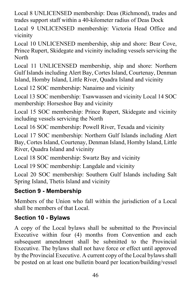Local 8 UNLICENSED membership: Deas (Richmond), trades and trades support staff within a 40-kilometer radius of Deas Dock

Local 9 UNLICENSED membership: Victoria Head Office and vicinity

Local 10 UNLICENSED membership, ship and shore: Bear Cove, Prince Rupert, Skidegate and vicinity including vessels servicing the North

Local 11 UNLICENSED membership, ship and shore: Northern Gulf Islands including Alert Bay, Cortes Island, Courtenay, Denman Island, Hornby Island, Little River, Quadra Island and vicinity

Local 12 SOC membership: Nanaimo and vicinity

Local 13 SOC membership: Tsawwassen and vicinity Local 14 SOC membership: Horseshoe Bay and vicinity

Local 15 SOC membership: Prince Rupert, Skidegate and vicinity including vessels servicing the North

Local 16 SOC membership: Powell River, Texada and vicinity

Local 17 SOC membership: Northern Gulf Islands including Alert Bay, Cortes Island, Courtenay, Denman Island, Hornby Island, Little River, Quadra Island and vicinity

Local 18 SOC membership: Swartz Bay and vicinity

Local 19 SOC membership: Langdale and vicinity

Local 20 SOC membership: Southern Gulf Islands including Salt Spring Island, Thetis Island and vicinity

# <span id="page-51-0"></span>**Section 9 - Membership**

Members of the Union who fall within the jurisdiction of a Local shall be members of that Local.

# <span id="page-51-1"></span>**Section 10 - Bylaws**

A copy of the Local bylaws shall be submitted to the Provincial Executive within four (4) months from Convention and each subsequent amendment shall be submitted to the Provincial Executive. The bylaws shall not have force or effect until approved by the Provincial Executive. A current copy of the Local bylaws shall be posted on at least one bulletin board per location/building/vessel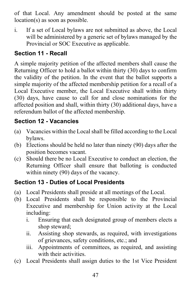of that Local. Any amendment should be posted at the same location(s) as soon as possible.

i. If a set of Local bylaws are not submitted as above, the Local will be administered by a generic set of bylaws managed by the Provincial or SOC Executive as applicable.

# <span id="page-52-0"></span>**Section 11 - Recall**

A simple majority petition of the affected members shall cause the Returning Officer to hold a ballot within thirty (30) days to confirm the validity of the petition. In the event that the ballot supports a simple majority of the affected membership petition for a recall of a Local Executive member, the Local Executive shall within thirty (30) days, have cause to call for and close nominations for the affected position and shall, within thirty (30) additional days, have a referendum ballot of the affected membership.

# <span id="page-52-1"></span>**Section 12 - Vacancies**

- (a) Vacancies within the Local shall be filled according to the Local bylaws.
- (b) Elections should be held no later than ninety (90) days after the position becomes vacant.
- (c) Should there be no Local Executive to conduct an election, the Returning Officer shall ensure that balloting is conducted within ninety (90) days of the vacancy.

# <span id="page-52-2"></span>**Section 13 - Duties of Local Presidents**

- (a) Local Presidents shall preside at all meetings of the Local.
- (b) Local Presidents shall be responsible to the Provincial Executive and membership for Union activity at the Local including:
	- i. Ensuring that each designated group of members elects a shop steward;
	- ii. Assisting shop stewards, as required, with investigations of grievances, safety conditions, etc.; and
	- iii. Appointments of committees, as required, and assisting with their activities.
- (c) Local Presidents shall assign duties to the 1st Vice President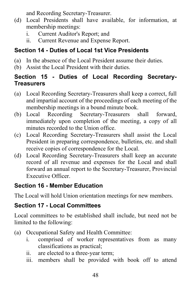and Recording Secretary-Treasurer.

- (d) Local Presidents shall have available, for information, at membership meetings:
	- i. Current Auditor's Report; and
	- ii. Current Revenue and Expense Report.

# <span id="page-53-0"></span>**Section 14 - Duties of Local 1st Vice Presidents**

- (a) In the absence of the Local President assume their duties.
- (b) Assist the Local President with their duties.

#### <span id="page-53-1"></span>**Section 15 - Duties of Local Recording Secretary-Treasurers**

- (a) Local Recording Secretary-Treasurers shall keep a correct, full and impartial account of the proceedings of each meeting of the membership meetings in a bound minute book.
- (b) Local Recording Secretary-Treasurers shall forward, immediately upon completion of the meeting, a copy of all minutes recorded to the Union office.
- (c) Local Recording Secretary-Treasurers shall assist the Local President in preparing correspondence, bulletins, etc. and shall receive copies of correspondence for the Local.
- (d) Local Recording Secretary-Treasurers shall keep an accurate record of all revenue and expenses for the Local and shall forward an annual report to the Secretary-Treasurer, Provincial Executive Officer.

# <span id="page-53-2"></span>**Section 16 - Member Education**

The Local will hold Union orientation meetings for new members.

# <span id="page-53-3"></span>**Section 17 - Local Committees**

Local committees to be established shall include, but need not be limited to the following:

- (a) Occupational Safety and Health Committee:
	- i. comprised of worker representatives from as many classifications as practical;
	- ii. are elected to a three-year term;
	- iii. members shall be provided with book off to attend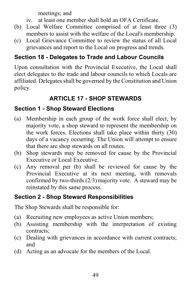meetings; and

- iv. at least one member shall hold an OFA Certificate.
- (b) Local Welfare Committee comprised of at least three (3) members to assist with the welfare of the Local's membership.
- (c) Local Grievance Committee to review the status of all Local grievances and report to the Local on progress and trends.

# <span id="page-54-0"></span>**Section 18 - Delegates to Trade and Labour Councils**

Upon consultation with the Provincial Executive, the Local shall elect delegates to the trade and labour councils to which Locals are affiliated. Delegates shall be governed by the Constitution and Union policy.

# **ARTICLE 17 - SHOP STEWARDS**

# <span id="page-54-2"></span><span id="page-54-1"></span>**Section 1 - Shop Steward Elections**

- (a) Membership in each group of the work force shall elect, by majority vote, a shop steward to represent the membership on the work forces. Elections shall take place within thirty (30) days of a vacancy occurring. The Union will attempt to ensure that there are shop stewards on all routes.
- (b) Shop stewards may be removed for cause by the Provincial Executive or Local Executive.
- (c) Any removal per (b) shall be reviewed for cause by the Provincial Executive at its next meeting, with removals confirmed by two-thirds (2/3)majority vote. A steward may be reinstated by this same process.

# <span id="page-54-3"></span>**Section 2 - Shop Steward Responsibilities**

The Shop Stewards shall be responsible for:

- (a) Recruiting new employees as active Union members;
- (b) Assisting membership with the interpretation of existing contracts;
- (c) Dealing with grievances in accordance with current contracts; and
- (d) Acting as an advocate for the members of the Local.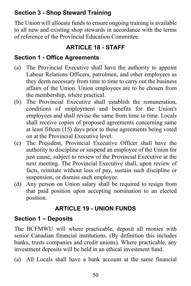# <span id="page-55-0"></span>**Section 3 - Shop Steward Training**

The Union will allocate funds to ensure ongoing training is available to all new and existing shop stewards in accordance with the terms of reference of the Provincial Education Committee.

# **ARTICLE 18 - STAFF**

# <span id="page-55-2"></span><span id="page-55-1"></span>**Section 1 - Office Agreements**

- (a) The Provincial Executive shall have the authority to appoint Labour Relations Officers, patrolmen, and other employees as they deem necessary from time to time to carry out the business affairs of the Union. Union employees are to be chosen from the membership, where practical.
- (b) The Provincial Executive shall establish the remuneration, conditions of employment and benefits for the Union's employees and shall revise the same from time to time. Locals shall receive copies of proposed agreements concerning same at least fifteen (15) days prior to these agreements being voted on at the Provincial Executive level.
- (c) The President, Provincial Executive Officer shall have the authority to discipline or suspend an employee of the Union for just cause, subject to review of the Provincial Executive at the next meeting. The Provincial Executive shall, upon review of facts, reinstate without loss of pay, sustain such discipline or suspension, or dismiss such employee.
- (d) Any person on Union salary shall be required to resign from that paid position upon accepting nomination to an elected position.

# **ARTICLE 19 - UNION FUNDS**

# <span id="page-55-4"></span><span id="page-55-3"></span>**Section 1 – Deposits**

The BCFMWU will where practicable, deposit all monies with senior Canadian financial institutions. (By definition this includes banks, trusts companies and credit unions). Where practicable, any investment deposits will be held in an ethical investment fund.

(a) All Locals shall have a bank account at the same financial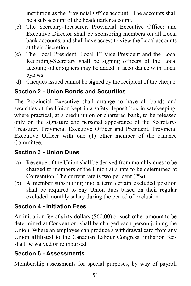institution as the Provincial Office account. The accounts shall be a sub account of the headquarter account.

- (b) The Secretary-Treasurer, Provincial Executive Officer and Executive Director shall be sponsoring members on all Local bank accounts, and shall have access to view the Local accounts at their discretion.
- (c) The Local President, Local 1st Vice President and the Local Recording-Secretary shall be signing officers of the Local account; other signers may be added in accordance with Local bylaws.
- (d) Cheques issued cannot be signed by the recipient of the cheque.

# <span id="page-56-0"></span>**Section 2 - Union Bonds and Securities**

The Provincial Executive shall arrange to have all bonds and securities of the Union kept in a safety deposit box in safekeeping, where practical, at a credit union or chartered bank, to be released only on the signature and personal appearance of the Secretary-Treasurer, Provincial Executive Officer and President, Provincial Executive Officer with one (1) other member of the Finance Committee.

# <span id="page-56-1"></span>**Section 3 - Union Dues**

- (a) Revenue of the Union shall be derived from monthly dues to be charged to members of the Union at a rate to be determined at Convention. The current rate is two per cent (2%).
- (b) A member substituting into a term certain excluded position shall be required to pay Union dues based on their regular excluded monthly salary during the period of exclusion.

# <span id="page-56-2"></span>**Section 4 - Initiation Fees**

An initiation fee of sixty dollars (\$60.00) or such other amount to be determined at Convention, shall be charged each person joining the Union. Where an employee can produce a withdrawal card from any Union affiliated to the Canadian Labour Congress, initiation fees shall be waived or reimbursed.

# <span id="page-56-3"></span>**Section 5 - Assessments**

Membership assessments for special purposes, by way of payroll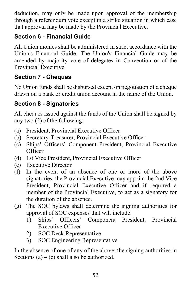deduction, may only be made upon approval of the membership through a referendum vote except in a strike situation in which case that approval may be made by the Provincial Executive.

# <span id="page-57-0"></span>**Section 6 - Financial Guide**

All Union monies shall be administered in strict accordance with the Union's Financial Guide. The Union's Financial Guide may be amended by majority vote of delegates in Convention or of the Provincial Executive.

# <span id="page-57-1"></span>**Section 7 - Cheques**

No Union funds shall be disbursed except on negotiation of a cheque drawn on a bank or credit union account in the name of the Union.

# <span id="page-57-2"></span>**Section 8 - Signatories**

All cheques issued against the funds of the Union shall be signed by any two (2) of the following:

- (a) President, Provincial Executive Officer
- (b) Secretary-Treasurer, Provincial Executive Officer
- (c) Ships' Officers' Component President, Provincial Executive **Officer**
- (d) 1st Vice President, Provincial Executive Officer
- (e) Executive Director
- (f) In the event of an absence of one or more of the above signatories, the Provincial Executive may appoint the 2nd Vice President, Provincial Executive Officer and if required a member of the Provincial Executive, to act as a signatory for the duration of the absence.
- (g) The SOC bylaws shall determine the signing authorities for approval of SOC expenses that will include:
	- 1) Ships' Officers' Component President, Provincial Executive Officer
	- 2) SOC Deck Representative
	- 3) SOC Engineering Representative

In the absence of one of any of the above, the signing authorities in Sections  $(a) - (e)$  shall also be authorized.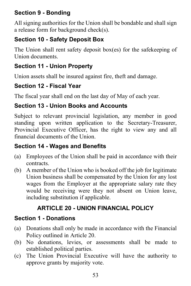# <span id="page-58-0"></span>**Section 9 - Bonding**

All signing authorities for the Union shall be bondable and shall sign a release form for background check(s).

# <span id="page-58-1"></span>**Section 10 - Safety Deposit Box**

The Union shall rent safety deposit box(es) for the safekeeping of Union documents.

# <span id="page-58-2"></span>**Section 11 - Union Property**

Union assets shall be insured against fire, theft and damage.

# <span id="page-58-3"></span>**Section 12 - Fiscal Year**

The fiscal year shall end on the last day of May of each year.

#### <span id="page-58-4"></span>**Section 13 - Union Books and Accounts**

Subject to relevant provincial legislation, any member in good standing upon written application to the Secretary-Treasurer, Provincial Executive Officer, has the right to view any and all financial documents of the Union.

#### <span id="page-58-5"></span>**Section 14 - Wages and Benefits**

- (a) Employees of the Union shall be paid in accordance with their contracts.
- (b) A member of the Union who is booked off the job for legitimate Union business shall be compensated by the Union for any lost wages from the Employer at the appropriate salary rate they would be receiving were they not absent on Union leave, including substitution if applicable.

# **ARTICLE 20 - UNION FINANCIAL POLICY**

#### <span id="page-58-7"></span><span id="page-58-6"></span>**Section 1 - Donations**

- (a) Donations shall only be made in accordance with the Financial Policy outlined in Article 20.
- (b) No donations, levies, or assessments shall be made to established political parties.
- (c) The Union Provincial Executive will have the authority to approve grants by majority vote.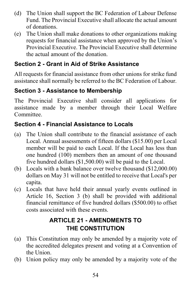- (d) The Union shall support the BC Federation of Labour Defense Fund. The Provincial Executive shall allocate the actual amount of donations.
- (e) The Union shall make donations to other organizations making requests for financial assistance when approved by the Union's Provincial Executive. The Provincial Executive shall determine the actual amount of the donation.

# <span id="page-59-0"></span>**Section 2 - Grant in Aid of Strike Assistance**

All requests for financial assistance from other unions for strike fund assistance shall normally be referred to the BC Federation of Labour.

# <span id="page-59-1"></span>**Section 3 - Assistance to Membership**

The Provincial Executive shall consider all applications for assistance made by a member through their Local Welfare Committee.

# <span id="page-59-2"></span>**Section 4 - Financial Assistance to Locals**

- (a) The Union shall contribute to the financial assistance of each Local. Annual assessments of fifteen dollars (\$15.00) per Local member will be paid to each Local. If the Local has less than one hundred (100) members then an amount of one thousand five hundred dollars (\$1,500.00) will be paid to the Local.
- (b) Locals with a bank balance over twelve thousand (\$12,000.00) dollars on May 31 will not be entitled to receive that Local's per capita.
- (c) Locals that have held their annual yearly events outlined in Article 16, Section 3 (b) shall be provided with additional financial remittance of five hundred dollars (\$500.00) to offset costs associated with these events.

# **ARTICLE 21 - AMENDMENTS TO THE CONSTITUTION**

- <span id="page-59-3"></span>(a) This Constitution may only be amended by a majority vote of the accredited delegates present and voting at a Convention of the Union.
- (b) Union policy may only be amended by a majority vote of the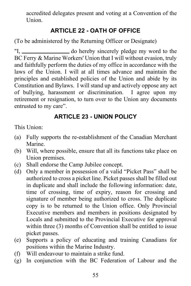accredited delegates present and voting at a Convention of the Union.

# <span id="page-60-0"></span>**ARTICLE 22 - OATH OF OFFICE**

(To be administered by the Returning Officer or Designate)

"I, do hereby sincerely pledge my word to the BC Ferry & Marine Workers' Union that I will without evasion, truly and faithfully perform the duties of my office in accordance with the laws of the Union. I will at all times advance and maintain the principles and established policies of the Union and abide by its Constitution and Bylaws. I will stand up and actively oppose any act of bullying, harassment or discrimination. I agree upon my retirement or resignation, to turn over to the Union any documents entrusted to my care".

#### **ARTICLE 23 - UNION POLICY**

<span id="page-60-1"></span>This Union:

- (a) Fully supports the re-establishment of the Canadian Merchant Marine.
- (b) Will, where possible, ensure that all its functions take place on Union premises.
- (c) Shall endorse the Camp Jubilee concept.
- (d) Only a member in possession of a valid "Picket Pass" shall be authorized to cross a picket line. Picket passes shall be filled out in duplicate and shall include the following information: date, time of crossing, time of expiry, reason for crossing and signature of member being authorized to cross. The duplicate copy is to be returned to the Union office. Only Provincial Executive members and members in positions designated by Locals and submitted to the Provincial Executive for approval within three (3) months of Convention shall be entitled to issue picket passes.
- (e) Supports a policy of educating and training Canadians for positions within the Marine Industry.
- (f) Will endeavour to maintain a strike fund.
- (g) In conjunction with the BC Federation of Labour and the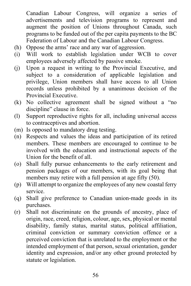Canadian Labour Congress, will organize a series of advertisements and television programs to represent and augment the position of Unions throughout Canada, such programs to be funded out of the per capita payments to the BC Federation of Labour and the Canadian Labour Congress.

- (h) Oppose the arms' race and any war of aggression.
- (i) Will work to establish legislation under WCB to cover employees adversely affected by passive smoke.
- (j) Upon a request in writing to the Provincial Executive, and subject to a consideration of applicable legislation and privilege, Union members shall have access to all Union records unless prohibited by a unanimous decision of the Provincial Executive.
- (k) No collective agreement shall be signed without a "no discipline" clause in force.
- (l) Support reproductive rights for all, including universal access to contraceptives and abortion.
- (m) Is opposed to mandatory drug testing.
- (n) Respects and values the ideas and participation of its retired members. These members are encouraged to continue to be involved with the education and instructional aspects of the Union for the benefit of all.
- (o) Shall fully pursue enhancements to the early retirement and pension packages of our members, with its goal being that members may retire with a full pension at age fifty (50).
- (p) Will attempt to organize the employees of any new coastal ferry service.
- (q) Shall give preference to Canadian union-made goods in its purchases.
- (r) Shall not discriminate on the grounds of ancestry, place of origin, race, creed, religion, colour, age, sex, physical or mental disability, family status, marital status, political affiliation, criminal conviction or summary conviction offence or a perceived conviction that is unrelated to the employment or the intended employment of that person, sexual orientation, gender identity and expression, and/or any other ground protected by statute or legislation.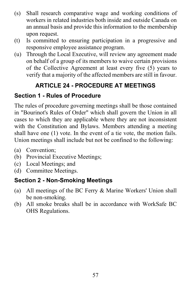- (s) Shall research comparative wage and working conditions of workers in related industries both inside and outside Canada on an annual basis and provide this information to the membership upon request.
- (t) Is committed to ensuring participation in a progressive and responsive employee assistance program.
- (u) Through the Local Executive, will review any agreement made on behalf of a group of its members to waive certain provisions of the Collective Agreement at least every five (5) years to verify that a majority of the affected members are still in favour.

# **ARTICLE 24 - PROCEDURE AT MEETINGS**

# <span id="page-62-1"></span><span id="page-62-0"></span>**Section 1 - Rules of Procedure**

The rules of procedure governing meetings shall be those contained in "Bourinot's Rules of Order" which shall govern the Union in all cases to which they are applicable where they are not inconsistent with the Constitution and Bylaws. Members attending a meeting shall have one (1) vote. In the event of a tie vote, the motion fails. Union meetings shall include but not be confined to the following:

- (a) Convention;
- (b) Provincial Executive Meetings;
- (c) Local Meetings; and
- (d) Committee Meetings.

#### <span id="page-62-2"></span>**Section 2 - Non-Smoking Meetings**

- (a) All meetings of the BC Ferry & Marine Workers' Union shall be non-smoking.
- (b) All smoke breaks shall be in accordance with WorkSafe BC OHS Regulations.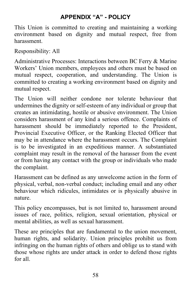# **APPENDIX "A" - POLICY**

<span id="page-63-0"></span>This Union is committed to creating and maintaining a working environment based on dignity and mutual respect, free from harassment.

Responsibility: All

Administrative Processes: Interactions between BC Ferry & Marine Workers' Union members, employees and others must be based on mutual respect, cooperation, and understanding. The Union is committed to creating a working environment based on dignity and mutual respect.

The Union will neither condone nor tolerate behaviour that undermines the dignity or self-esteem of any individual or group that creates an intimidating, hostile or abusive environment. The Union considers harassment of any kind a serious offence. Complaints of harassment should be immediately reported to the President, Provincial Executive Officer, or the Ranking Elected Officer that may be in attendance where the harassment occurs. The Complaint is to be investigated in an expeditious manner. A substantiated complaint may result in the removal of the harasser from the event or from having any contact with the group or individuals who made the complaint.

Harassment can be defined as any unwelcome action in the form of physical, verbal, non-verbal conduct; including email and any other behaviour which ridicules, intimidates or is physically abusive in nature.

This policy encompasses, but is not limited to, harassment around issues of race, politics, religion, sexual orientation, physical or mental abilities, as well as sexual harassment.

These are principles that are fundamental to the union movement, human rights, and solidarity. Union principles prohibit us from infringing on the human rights of others and oblige us to stand with those whose rights are under attack in order to defend those rights for all.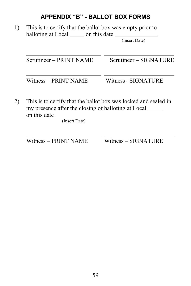#### **APPENDIX "B" - BALLOT BOX FORMS**

<span id="page-64-0"></span>1) This is to certify that the ballot box was empty prior to balloting at Local \_\_\_\_\_\_ on this date \_\_\_\_

(Insert Date)

| Scrutineer – PRINT NAME | Scrutineer – SIGNATURE |  |
|-------------------------|------------------------|--|
| Witness - PRINT NAME    | Witness -SIGNATURE     |  |

2) This is to certify that the ballot box was locked and sealed in my presence after the closing of balloting at Local on this date

(Insert Date)

Witness – PRINT NAME Witness – SIGNATURE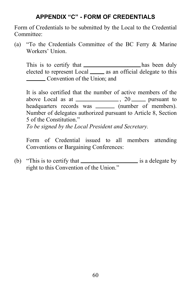#### **APPENDIX "C" - FORM OF CREDENTIALS**

<span id="page-65-0"></span>Form of Credentials to be submitted by the Local to the Credential Committee:

(a) "To the Credentials Committee of the BC Ferry & Marine Workers' Union.

This is to certify that \_\_\_\_\_\_\_\_\_\_\_\_\_\_\_\_\_\_\_has been duly elected to represent Local  $\frac{1}{\sqrt{1-\frac{1}{n}}}$  as an official delegate to this **Convention of the Union; and** 

It is also certified that the number of active members of the above Local as at  $\frac{1}{2}$ , 20 pursuant to headquarters records was \_\_\_\_\_\_\_\_ (number of members). Number of delegates authorized pursuant to Article 8, Section 5 of the Constitution." *To be signed by the Local President and Secretary.* 

Form of Credential issued to all members attending Conventions or Bargaining Conferences:

(b) "This is to certify that  $\frac{1}{\sqrt{2\pi}}$  is a delegate by right to this Convention of the Union."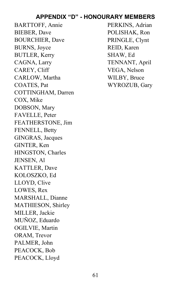#### **APPENDIX "D" - HONOURARY MEMBERS**

<span id="page-66-0"></span>BARTTOFF, Annie BIEBER, Dave BOURCHIER, Dave BURNS, Joyce BUTLER, Kerry CAGNA, Larry CAREY, Cliff CARLOW, Martha COATES, Pat COTTINGHAM, Darren COX, Mike DOBSON, Mary FAVELLE, Peter FEATHERSTONE, Jim FENNELL, Betty GINGRAS, Jacques GINTER, Ken HINGSTON, Charles JENSEN, Al KATTLER, Dave KOLOSZKO, Ed LLOYD, Clive LOWES, Rex MARSHALL, Dianne MATHIESON, Shirley MILLER, Jackie MUÑOZ, Eduardo OGILVIE, Martin ORAM, Trevor PALMER, John PEACOCK, Bob PEACOCK, Lloyd

PERKINS, Adrian POLISHAK, Ron PRINGLE, Clynt REID, Karen SHAW, Ed TENNANT, April VEGA, Nelson WILBY, Bruce WYROZUB, Gary